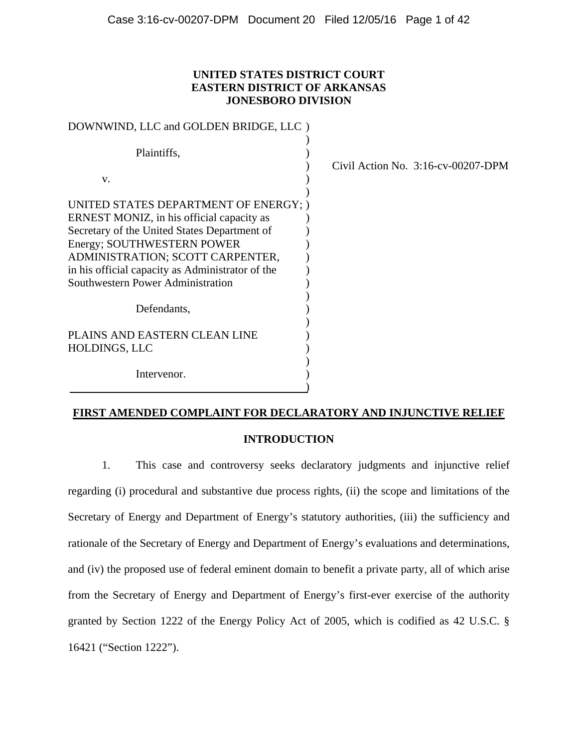# **UNITED STATES DISTRICT COURT EASTERN DISTRICT OF ARKANSAS JONESBORO DIVISION**

| DOWNWIND, LLC and GOLDEN BRIDGE, LLC )           |                                       |
|--------------------------------------------------|---------------------------------------|
| Plaintiffs,                                      | Civil Action No. $3:16$ -cv-00207-DPM |
| V.                                               |                                       |
| UNITED STATES DEPARTMENT OF ENERGY; )            |                                       |
| ERNEST MONIZ, in his official capacity as        |                                       |
| Secretary of the United States Department of     |                                       |
| Energy; SOUTHWESTERN POWER                       |                                       |
| ADMINISTRATION; SCOTT CARPENTER,                 |                                       |
| in his official capacity as Administrator of the |                                       |
| Southwestern Power Administration                |                                       |
| Defendants,                                      |                                       |
| PLAINS AND EASTERN CLEAN LINE                    |                                       |
| HOLDINGS, LLC                                    |                                       |
| Intervenor.                                      |                                       |

# **FIRST AMENDED COMPLAINT FOR DECLARATORY AND INJUNCTIVE RELIEF**

# **INTRODUCTION**

1. This case and controversy seeks declaratory judgments and injunctive relief regarding (i) procedural and substantive due process rights, (ii) the scope and limitations of the Secretary of Energy and Department of Energy's statutory authorities, (iii) the sufficiency and rationale of the Secretary of Energy and Department of Energy's evaluations and determinations, and (iv) the proposed use of federal eminent domain to benefit a private party, all of which arise from the Secretary of Energy and Department of Energy's first-ever exercise of the authority granted by Section 1222 of the Energy Policy Act of 2005, which is codified as 42 U.S.C. § 16421 ("Section 1222").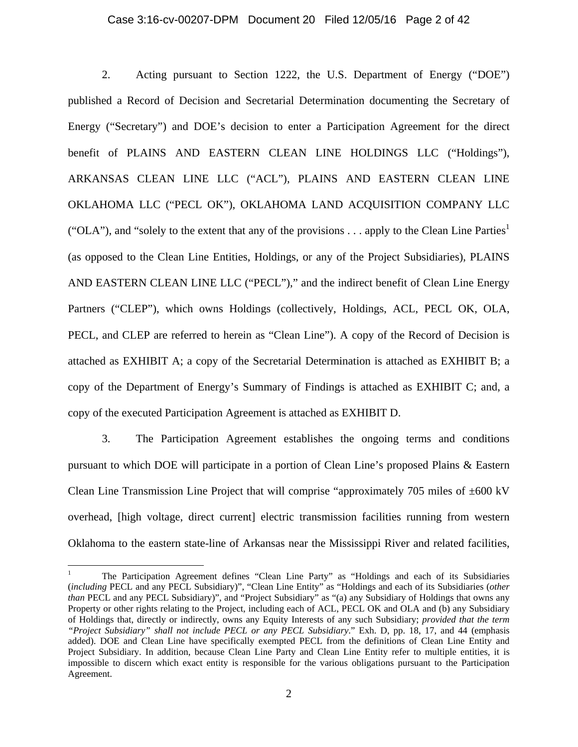#### Case 3:16-cv-00207-DPM Document 20 Filed 12/05/16 Page 2 of 42

2. Acting pursuant to Section 1222, the U.S. Department of Energy ("DOE") published a Record of Decision and Secretarial Determination documenting the Secretary of Energy ("Secretary") and DOE's decision to enter a Participation Agreement for the direct benefit of PLAINS AND EASTERN CLEAN LINE HOLDINGS LLC ("Holdings"), ARKANSAS CLEAN LINE LLC ("ACL"), PLAINS AND EASTERN CLEAN LINE OKLAHOMA LLC ("PECL OK"), OKLAHOMA LAND ACQUISITION COMPANY LLC ("OLA"), and "solely to the extent that any of the provisions . . . apply to the Clean Line Parties<sup>1</sup> (as opposed to the Clean Line Entities, Holdings, or any of the Project Subsidiaries), PLAINS AND EASTERN CLEAN LINE LLC ("PECL")," and the indirect benefit of Clean Line Energy Partners ("CLEP"), which owns Holdings (collectively, Holdings, ACL, PECL OK, OLA, PECL, and CLEP are referred to herein as "Clean Line"). A copy of the Record of Decision is attached as EXHIBIT A; a copy of the Secretarial Determination is attached as EXHIBIT B; a copy of the Department of Energy's Summary of Findings is attached as EXHIBIT C; and, a copy of the executed Participation Agreement is attached as EXHIBIT D.

3. The Participation Agreement establishes the ongoing terms and conditions pursuant to which DOE will participate in a portion of Clean Line's proposed Plains & Eastern Clean Line Transmission Line Project that will comprise "approximately 705 miles of  $\pm 600 \text{ kV}$ overhead, [high voltage, direct current] electric transmission facilities running from western Oklahoma to the eastern state-line of Arkansas near the Mississippi River and related facilities,

<sup>1</sup> The Participation Agreement defines "Clean Line Party" as "Holdings and each of its Subsidiaries (*including* PECL and any PECL Subsidiary)", "Clean Line Entity" as "Holdings and each of its Subsidiaries (*other than* PECL and any PECL Subsidiary)", and "Project Subsidiary" as "(a) any Subsidiary of Holdings that owns any Property or other rights relating to the Project, including each of ACL, PECL OK and OLA and (b) any Subsidiary of Holdings that, directly or indirectly, owns any Equity Interests of any such Subsidiary; *provided that the term "Project Subsidiary" shall not include PECL or any PECL Subsidiary*." Exh. D, pp. 18, 17, and 44 (emphasis added). DOE and Clean Line have specifically exempted PECL from the definitions of Clean Line Entity and Project Subsidiary. In addition, because Clean Line Party and Clean Line Entity refer to multiple entities, it is impossible to discern which exact entity is responsible for the various obligations pursuant to the Participation Agreement.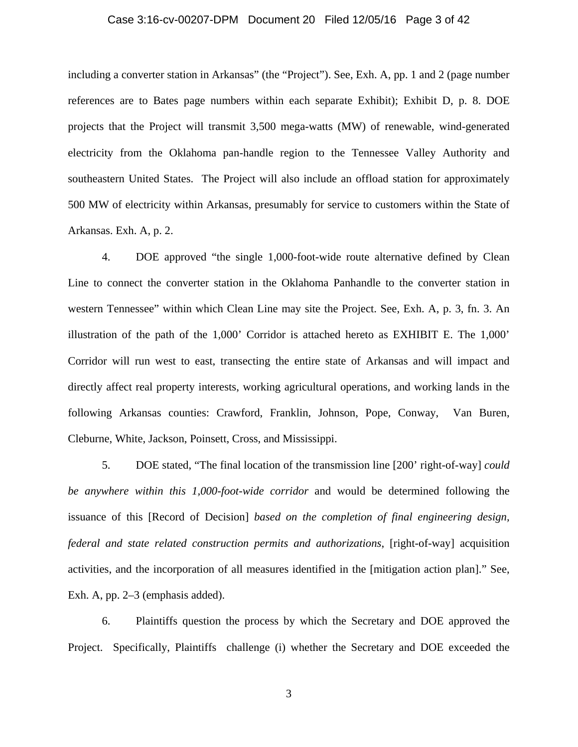### Case 3:16-cv-00207-DPM Document 20 Filed 12/05/16 Page 3 of 42

including a converter station in Arkansas" (the "Project"). See, Exh. A, pp. 1 and 2 (page number references are to Bates page numbers within each separate Exhibit); Exhibit D, p. 8. DOE projects that the Project will transmit 3,500 mega-watts (MW) of renewable, wind-generated electricity from the Oklahoma pan-handle region to the Tennessee Valley Authority and southeastern United States. The Project will also include an offload station for approximately 500 MW of electricity within Arkansas, presumably for service to customers within the State of Arkansas. Exh. A, p. 2.

4. DOE approved "the single 1,000-foot-wide route alternative defined by Clean Line to connect the converter station in the Oklahoma Panhandle to the converter station in western Tennessee" within which Clean Line may site the Project. See, Exh. A, p. 3, fn. 3. An illustration of the path of the 1,000' Corridor is attached hereto as EXHIBIT E. The 1,000' Corridor will run west to east, transecting the entire state of Arkansas and will impact and directly affect real property interests, working agricultural operations, and working lands in the following Arkansas counties: Crawford, Franklin, Johnson, Pope, Conway, Van Buren, Cleburne, White, Jackson, Poinsett, Cross, and Mississippi.

5. DOE stated, "The final location of the transmission line [200' right-of-way] *could be anywhere within this 1,000-foot-wide corridor* and would be determined following the issuance of this [Record of Decision] *based on the completion of final engineering design, federal and state related construction permits and authorizations*, [right-of-way] acquisition activities, and the incorporation of all measures identified in the [mitigation action plan]." See, Exh. A, pp. 2–3 (emphasis added).

6. Plaintiffs question the process by which the Secretary and DOE approved the Project. Specifically, Plaintiffs challenge (i) whether the Secretary and DOE exceeded the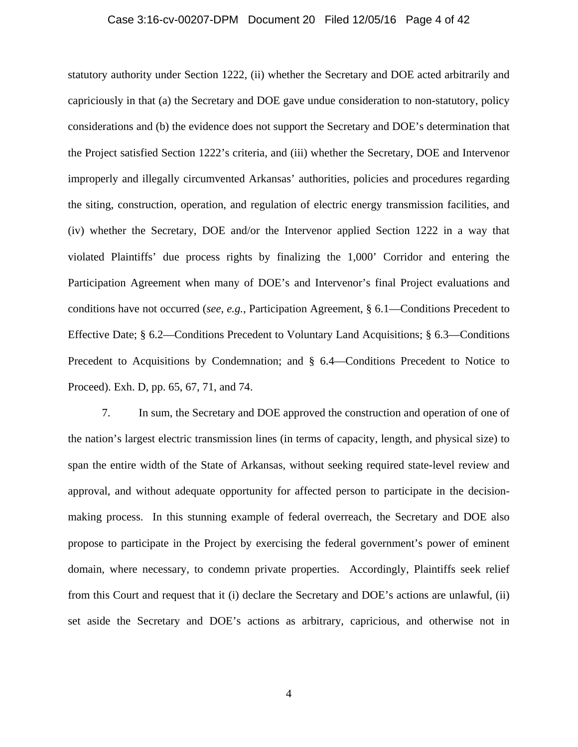#### Case 3:16-cv-00207-DPM Document 20 Filed 12/05/16 Page 4 of 42

statutory authority under Section 1222, (ii) whether the Secretary and DOE acted arbitrarily and capriciously in that (a) the Secretary and DOE gave undue consideration to non-statutory, policy considerations and (b) the evidence does not support the Secretary and DOE's determination that the Project satisfied Section 1222's criteria, and (iii) whether the Secretary, DOE and Intervenor improperly and illegally circumvented Arkansas' authorities, policies and procedures regarding the siting, construction, operation, and regulation of electric energy transmission facilities, and (iv) whether the Secretary, DOE and/or the Intervenor applied Section 1222 in a way that violated Plaintiffs' due process rights by finalizing the 1,000' Corridor and entering the Participation Agreement when many of DOE's and Intervenor's final Project evaluations and conditions have not occurred (*see*, *e.g.*, Participation Agreement, § 6.1—Conditions Precedent to Effective Date; § 6.2—Conditions Precedent to Voluntary Land Acquisitions; § 6.3—Conditions Precedent to Acquisitions by Condemnation; and § 6.4—Conditions Precedent to Notice to Proceed). Exh. D, pp. 65, 67, 71, and 74.

7. In sum, the Secretary and DOE approved the construction and operation of one of the nation's largest electric transmission lines (in terms of capacity, length, and physical size) to span the entire width of the State of Arkansas, without seeking required state-level review and approval, and without adequate opportunity for affected person to participate in the decisionmaking process. In this stunning example of federal overreach, the Secretary and DOE also propose to participate in the Project by exercising the federal government's power of eminent domain, where necessary, to condemn private properties. Accordingly, Plaintiffs seek relief from this Court and request that it (i) declare the Secretary and DOE's actions are unlawful, (ii) set aside the Secretary and DOE's actions as arbitrary, capricious, and otherwise not in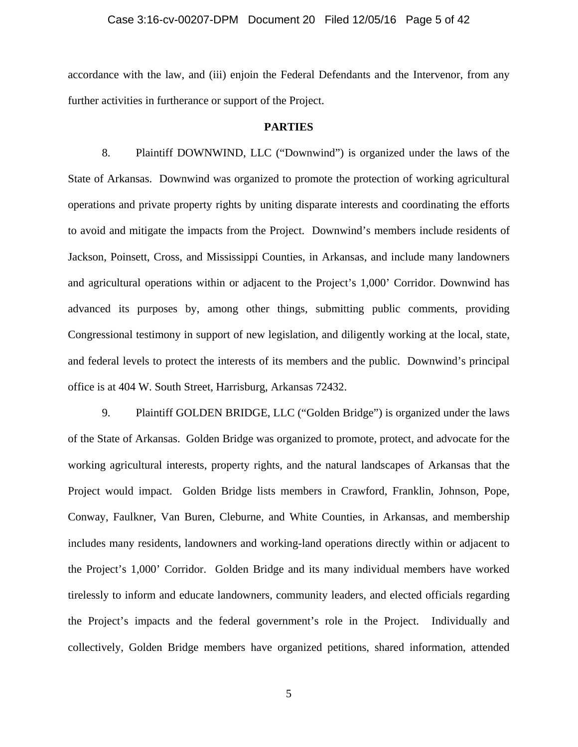#### Case 3:16-cv-00207-DPM Document 20 Filed 12/05/16 Page 5 of 42

accordance with the law, and (iii) enjoin the Federal Defendants and the Intervenor, from any further activities in furtherance or support of the Project.

#### **PARTIES**

8. Plaintiff DOWNWIND, LLC ("Downwind") is organized under the laws of the State of Arkansas. Downwind was organized to promote the protection of working agricultural operations and private property rights by uniting disparate interests and coordinating the efforts to avoid and mitigate the impacts from the Project. Downwind's members include residents of Jackson, Poinsett, Cross, and Mississippi Counties, in Arkansas, and include many landowners and agricultural operations within or adjacent to the Project's 1,000' Corridor. Downwind has advanced its purposes by, among other things, submitting public comments, providing Congressional testimony in support of new legislation, and diligently working at the local, state, and federal levels to protect the interests of its members and the public. Downwind's principal office is at 404 W. South Street, Harrisburg, Arkansas 72432.

9. Plaintiff GOLDEN BRIDGE, LLC ("Golden Bridge") is organized under the laws of the State of Arkansas. Golden Bridge was organized to promote, protect, and advocate for the working agricultural interests, property rights, and the natural landscapes of Arkansas that the Project would impact. Golden Bridge lists members in Crawford, Franklin, Johnson, Pope, Conway, Faulkner, Van Buren, Cleburne, and White Counties, in Arkansas, and membership includes many residents, landowners and working-land operations directly within or adjacent to the Project's 1,000' Corridor. Golden Bridge and its many individual members have worked tirelessly to inform and educate landowners, community leaders, and elected officials regarding the Project's impacts and the federal government's role in the Project. Individually and collectively, Golden Bridge members have organized petitions, shared information, attended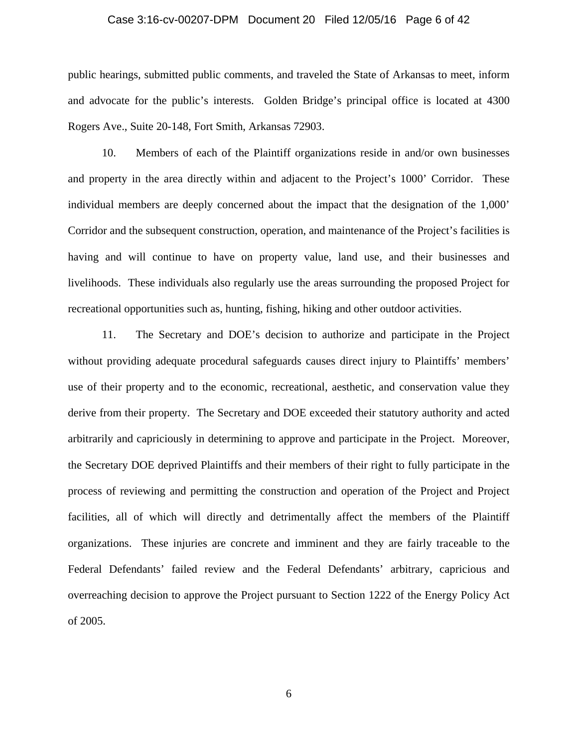#### Case 3:16-cv-00207-DPM Document 20 Filed 12/05/16 Page 6 of 42

public hearings, submitted public comments, and traveled the State of Arkansas to meet, inform and advocate for the public's interests. Golden Bridge's principal office is located at 4300 Rogers Ave., Suite 20-148, Fort Smith, Arkansas 72903.

10. Members of each of the Plaintiff organizations reside in and/or own businesses and property in the area directly within and adjacent to the Project's 1000' Corridor. These individual members are deeply concerned about the impact that the designation of the 1,000' Corridor and the subsequent construction, operation, and maintenance of the Project's facilities is having and will continue to have on property value, land use, and their businesses and livelihoods. These individuals also regularly use the areas surrounding the proposed Project for recreational opportunities such as, hunting, fishing, hiking and other outdoor activities.

11. The Secretary and DOE's decision to authorize and participate in the Project without providing adequate procedural safeguards causes direct injury to Plaintiffs' members' use of their property and to the economic, recreational, aesthetic, and conservation value they derive from their property. The Secretary and DOE exceeded their statutory authority and acted arbitrarily and capriciously in determining to approve and participate in the Project. Moreover, the Secretary DOE deprived Plaintiffs and their members of their right to fully participate in the process of reviewing and permitting the construction and operation of the Project and Project facilities, all of which will directly and detrimentally affect the members of the Plaintiff organizations. These injuries are concrete and imminent and they are fairly traceable to the Federal Defendants' failed review and the Federal Defendants' arbitrary, capricious and overreaching decision to approve the Project pursuant to Section 1222 of the Energy Policy Act of 2005.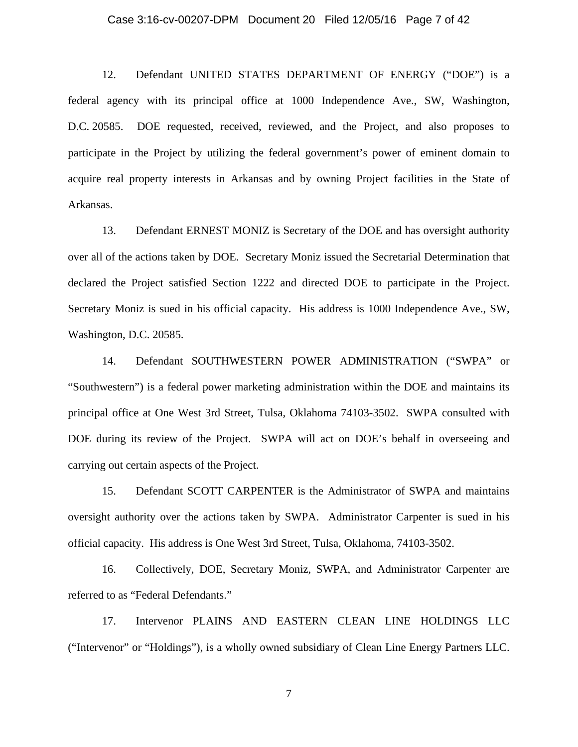#### Case 3:16-cv-00207-DPM Document 20 Filed 12/05/16 Page 7 of 42

12. Defendant UNITED STATES DEPARTMENT OF ENERGY ("DOE") is a federal agency with its principal office at 1000 Independence Ave., SW, Washington, D.C. 20585. DOE requested, received, reviewed, and the Project, and also proposes to participate in the Project by utilizing the federal government's power of eminent domain to acquire real property interests in Arkansas and by owning Project facilities in the State of Arkansas.

13. Defendant ERNEST MONIZ is Secretary of the DOE and has oversight authority over all of the actions taken by DOE. Secretary Moniz issued the Secretarial Determination that declared the Project satisfied Section 1222 and directed DOE to participate in the Project. Secretary Moniz is sued in his official capacity. His address is 1000 Independence Ave., SW, Washington, D.C. 20585.

14. Defendant SOUTHWESTERN POWER ADMINISTRATION ("SWPA" or "Southwestern") is a federal power marketing administration within the DOE and maintains its principal office at One West 3rd Street, Tulsa, Oklahoma 74103-3502. SWPA consulted with DOE during its review of the Project. SWPA will act on DOE's behalf in overseeing and carrying out certain aspects of the Project.

15. Defendant SCOTT CARPENTER is the Administrator of SWPA and maintains oversight authority over the actions taken by SWPA. Administrator Carpenter is sued in his official capacity. His address is One West 3rd Street, Tulsa, Oklahoma, 74103-3502.

16. Collectively, DOE, Secretary Moniz, SWPA, and Administrator Carpenter are referred to as "Federal Defendants."

17. Intervenor PLAINS AND EASTERN CLEAN LINE HOLDINGS LLC ("Intervenor" or "Holdings"), is a wholly owned subsidiary of Clean Line Energy Partners LLC.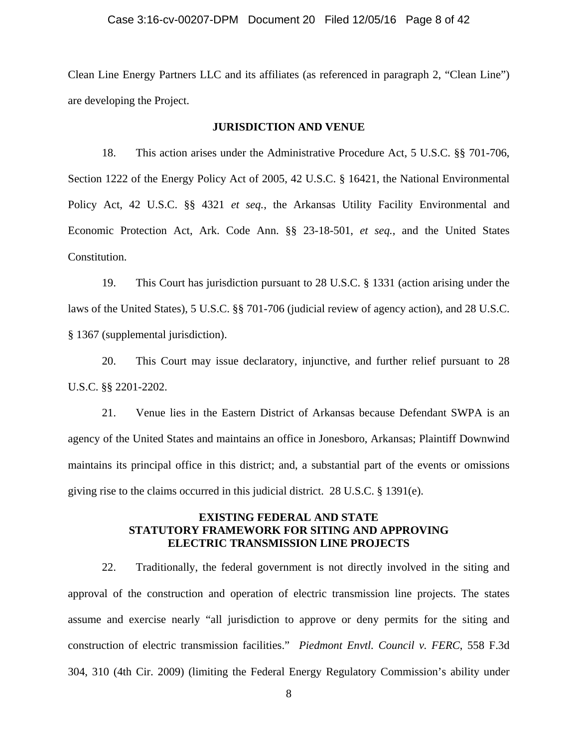# Case 3:16-cv-00207-DPM Document 20 Filed 12/05/16 Page 8 of 42

Clean Line Energy Partners LLC and its affiliates (as referenced in paragraph 2, "Clean Line") are developing the Project.

### **JURISDICTION AND VENUE**

18. This action arises under the Administrative Procedure Act, 5 U.S.C. §§ 701-706, Section 1222 of the Energy Policy Act of 2005, 42 U.S.C. § 16421, the National Environmental Policy Act, 42 U.S.C. §§ 4321 *et seq.*, the Arkansas Utility Facility Environmental and Economic Protection Act, Ark. Code Ann. §§ 23-18-501, *et seq.*, and the United States Constitution.

19. This Court has jurisdiction pursuant to 28 U.S.C. § 1331 (action arising under the laws of the United States), 5 U.S.C. §§ 701-706 (judicial review of agency action), and 28 U.S.C. § 1367 (supplemental jurisdiction).

20. This Court may issue declaratory, injunctive, and further relief pursuant to 28 U.S.C. §§ 2201-2202.

21. Venue lies in the Eastern District of Arkansas because Defendant SWPA is an agency of the United States and maintains an office in Jonesboro, Arkansas; Plaintiff Downwind maintains its principal office in this district; and, a substantial part of the events or omissions giving rise to the claims occurred in this judicial district. 28 U.S.C. § 1391(e).

# **EXISTING FEDERAL AND STATE STATUTORY FRAMEWORK FOR SITING AND APPROVING ELECTRIC TRANSMISSION LINE PROJECTS**

22. Traditionally, the federal government is not directly involved in the siting and approval of the construction and operation of electric transmission line projects. The states assume and exercise nearly "all jurisdiction to approve or deny permits for the siting and construction of electric transmission facilities." *Piedmont Envtl. Council v. FERC*, 558 F.3d 304, 310 (4th Cir. 2009) (limiting the Federal Energy Regulatory Commission's ability under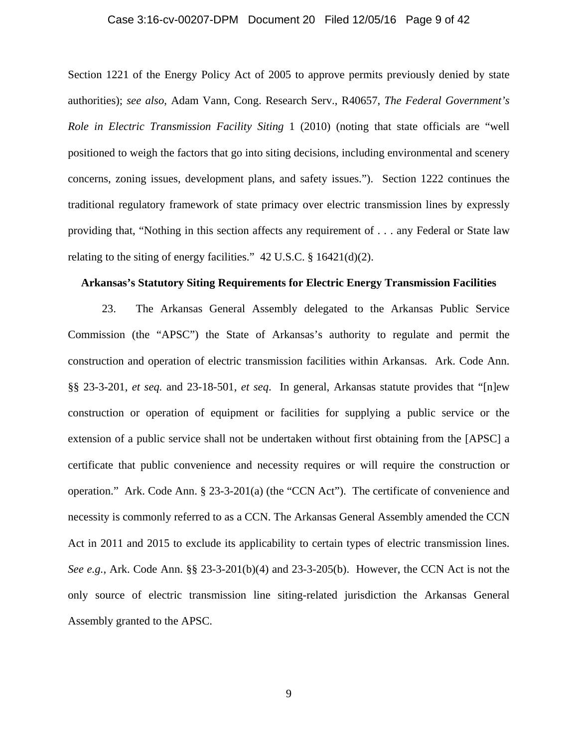#### Case 3:16-cv-00207-DPM Document 20 Filed 12/05/16 Page 9 of 42

Section 1221 of the Energy Policy Act of 2005 to approve permits previously denied by state authorities); *see also*, Adam Vann, Cong. Research Serv., R40657, *The Federal Government's Role in Electric Transmission Facility Siting* 1 (2010) (noting that state officials are "well positioned to weigh the factors that go into siting decisions, including environmental and scenery concerns, zoning issues, development plans, and safety issues."). Section 1222 continues the traditional regulatory framework of state primacy over electric transmission lines by expressly providing that, "Nothing in this section affects any requirement of . . . any Federal or State law relating to the siting of energy facilities."  $42 \text{ U.S.C.}$  §  $16421\text{ (d)}(2)$ .

### **Arkansas's Statutory Siting Requirements for Electric Energy Transmission Facilities**

23. The Arkansas General Assembly delegated to the Arkansas Public Service Commission (the "APSC") the State of Arkansas's authority to regulate and permit the construction and operation of electric transmission facilities within Arkansas. Ark. Code Ann. §§ 23-3-201, *et seq.* and 23-18-501, *et seq*. In general, Arkansas statute provides that "[n]ew construction or operation of equipment or facilities for supplying a public service or the extension of a public service shall not be undertaken without first obtaining from the [APSC] a certificate that public convenience and necessity requires or will require the construction or operation." Ark. Code Ann. § 23-3-201(a) (the "CCN Act"). The certificate of convenience and necessity is commonly referred to as a CCN. The Arkansas General Assembly amended the CCN Act in 2011 and 2015 to exclude its applicability to certain types of electric transmission lines. *See e.g.*, Ark. Code Ann. §§ 23-3-201(b)(4) and 23-3-205(b). However, the CCN Act is not the only source of electric transmission line siting-related jurisdiction the Arkansas General Assembly granted to the APSC.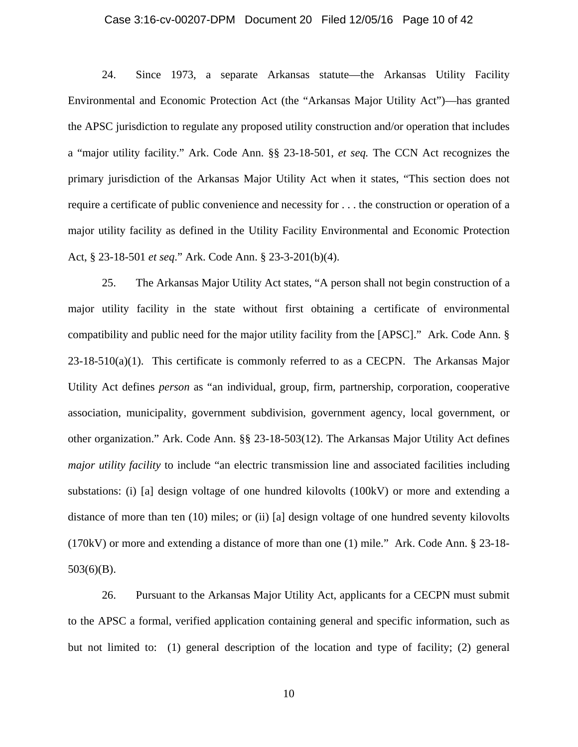#### Case 3:16-cv-00207-DPM Document 20 Filed 12/05/16 Page 10 of 42

24. Since 1973, a separate Arkansas statute—the Arkansas Utility Facility Environmental and Economic Protection Act (the "Arkansas Major Utility Act")—has granted the APSC jurisdiction to regulate any proposed utility construction and/or operation that includes a "major utility facility." Ark. Code Ann. §§ 23-18-501, *et seq.* The CCN Act recognizes the primary jurisdiction of the Arkansas Major Utility Act when it states, "This section does not require a certificate of public convenience and necessity for . . . the construction or operation of a major utility facility as defined in the Utility Facility Environmental and Economic Protection Act, § 23-18-501 *et seq*." Ark. Code Ann. § 23-3-201(b)(4).

25. The Arkansas Major Utility Act states, "A person shall not begin construction of a major utility facility in the state without first obtaining a certificate of environmental compatibility and public need for the major utility facility from the [APSC]." Ark. Code Ann. §  $23-18-510(a)(1)$ . This certificate is commonly referred to as a CECPN. The Arkansas Major Utility Act defines *person* as "an individual, group, firm, partnership, corporation, cooperative association, municipality, government subdivision, government agency, local government, or other organization." Ark. Code Ann. §§ 23-18-503(12). The Arkansas Major Utility Act defines *major utility facility* to include "an electric transmission line and associated facilities including substations: (i) [a] design voltage of one hundred kilovolts (100kV) or more and extending a distance of more than ten (10) miles; or (ii) [a] design voltage of one hundred seventy kilovolts (170kV) or more and extending a distance of more than one (1) mile." Ark. Code Ann. § 23-18- 503(6)(B).

26. Pursuant to the Arkansas Major Utility Act, applicants for a CECPN must submit to the APSC a formal, verified application containing general and specific information, such as but not limited to: (1) general description of the location and type of facility; (2) general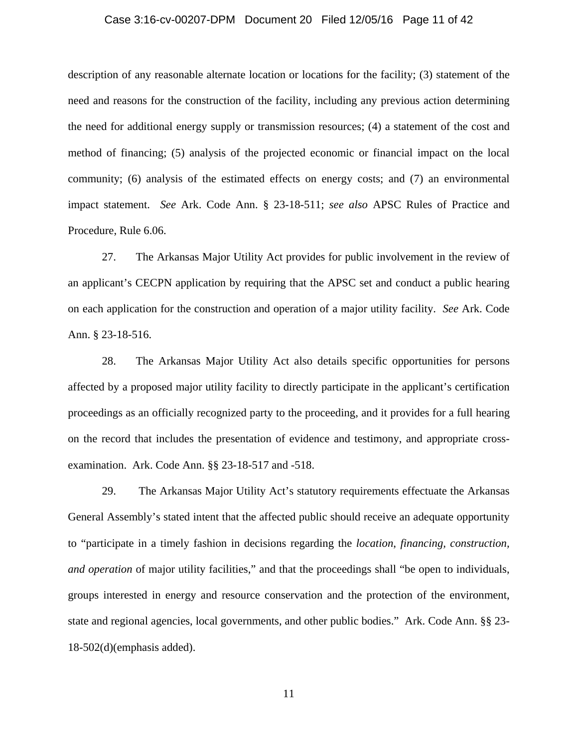#### Case 3:16-cv-00207-DPM Document 20 Filed 12/05/16 Page 11 of 42

description of any reasonable alternate location or locations for the facility; (3) statement of the need and reasons for the construction of the facility, including any previous action determining the need for additional energy supply or transmission resources; (4) a statement of the cost and method of financing; (5) analysis of the projected economic or financial impact on the local community; (6) analysis of the estimated effects on energy costs; and (7) an environmental impact statement. *See* Ark. Code Ann. § 23-18-511; *see also* APSC Rules of Practice and Procedure, Rule 6.06.

27. The Arkansas Major Utility Act provides for public involvement in the review of an applicant's CECPN application by requiring that the APSC set and conduct a public hearing on each application for the construction and operation of a major utility facility. *See* Ark. Code Ann. § 23-18-516.

28. The Arkansas Major Utility Act also details specific opportunities for persons affected by a proposed major utility facility to directly participate in the applicant's certification proceedings as an officially recognized party to the proceeding, and it provides for a full hearing on the record that includes the presentation of evidence and testimony, and appropriate crossexamination. Ark. Code Ann. §§ 23-18-517 and -518.

29. The Arkansas Major Utility Act's statutory requirements effectuate the Arkansas General Assembly's stated intent that the affected public should receive an adequate opportunity to "participate in a timely fashion in decisions regarding the *location*, *financing, construction, and operation* of major utility facilities," and that the proceedings shall "be open to individuals, groups interested in energy and resource conservation and the protection of the environment, state and regional agencies, local governments, and other public bodies." Ark. Code Ann. §§ 23- 18-502(d)(emphasis added).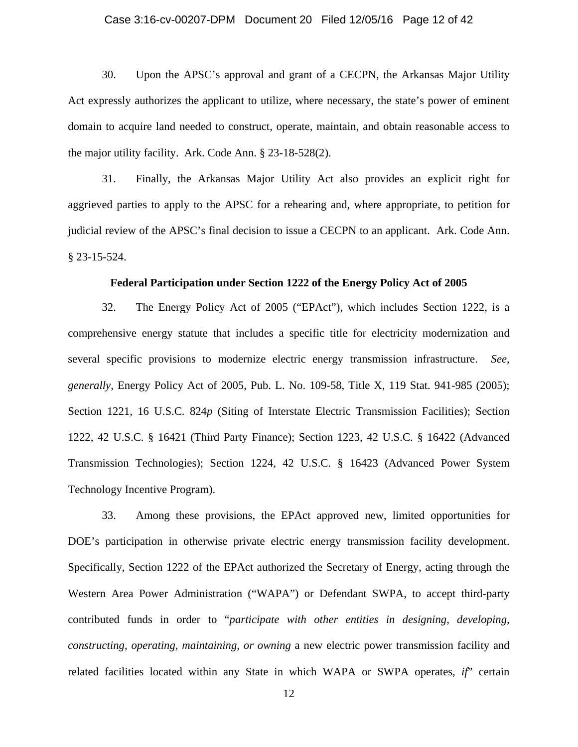### Case 3:16-cv-00207-DPM Document 20 Filed 12/05/16 Page 12 of 42

30. Upon the APSC's approval and grant of a CECPN, the Arkansas Major Utility Act expressly authorizes the applicant to utilize, where necessary, the state's power of eminent domain to acquire land needed to construct, operate, maintain, and obtain reasonable access to the major utility facility. Ark. Code Ann. § 23-18-528(2).

31. Finally, the Arkansas Major Utility Act also provides an explicit right for aggrieved parties to apply to the APSC for a rehearing and, where appropriate, to petition for judicial review of the APSC's final decision to issue a CECPN to an applicant. Ark. Code Ann. § 23-15-524.

### **Federal Participation under Section 1222 of the Energy Policy Act of 2005**

32. The Energy Policy Act of 2005 ("EPAct"), which includes Section 1222, is a comprehensive energy statute that includes a specific title for electricity modernization and several specific provisions to modernize electric energy transmission infrastructure. *See*, *generally*, Energy Policy Act of 2005, Pub. L. No. 109-58, Title X, 119 Stat. 941-985 (2005); Section 1221, 16 U.S.C. 824p (Siting of Interstate Electric Transmission Facilities); Section 1222, 42 U.S.C. § 16421 (Third Party Finance); Section 1223, 42 U.S.C. § 16422 (Advanced Transmission Technologies); Section 1224, 42 U.S.C. § 16423 (Advanced Power System Technology Incentive Program).

33. Among these provisions, the EPAct approved new, limited opportunities for DOE's participation in otherwise private electric energy transmission facility development. Specifically, Section 1222 of the EPAct authorized the Secretary of Energy, acting through the Western Area Power Administration ("WAPA") or Defendant SWPA, to accept third-party contributed funds in order to "*participate with other entities in designing, developing, constructing, operating, maintaining, or owning* a new electric power transmission facility and related facilities located within any State in which WAPA or SWPA operates, *if*" certain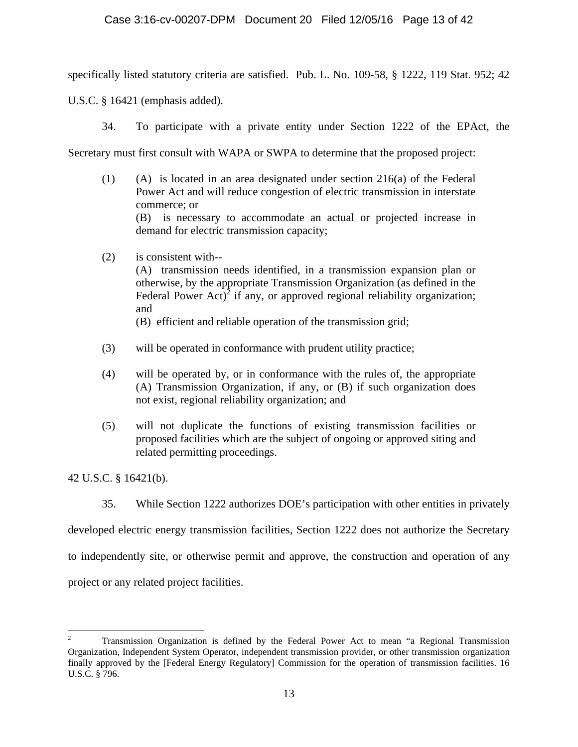specifically listed statutory criteria are satisfied. Pub. L. No. 109-58, § 1222, 119 Stat. 952; 42

U.S.C. § 16421 (emphasis added).

34. To participate with a private entity under Section 1222 of the EPAct, the

Secretary must first consult with WAPA or SWPA to determine that the proposed project:

- (1) (A) is located in an area designated under section 216(a) of the Federal Power Act and will reduce congestion of electric transmission in interstate commerce; or (B) is necessary to accommodate an actual or projected increase in demand for electric transmission capacity;
- (2) is consistent with--

 (A) transmission needs identified, in a transmission expansion plan or otherwise, by the appropriate Transmission Organization (as defined in the Federal Power Act)<sup>2</sup> if any, or approved regional reliability organization; and

(B) efficient and reliable operation of the transmission grid;

- (3) will be operated in conformance with prudent utility practice;
- (4) will be operated by, or in conformance with the rules of, the appropriate (A) Transmission Organization, if any, or (B) if such organization does not exist, regional reliability organization; and
- (5) will not duplicate the functions of existing transmission facilities or proposed facilities which are the subject of ongoing or approved siting and related permitting proceedings.

42 U.S.C. § 16421(b).

 $\overline{a}$ 

35. While Section 1222 authorizes DOE's participation with other entities in privately

developed electric energy transmission facilities, Section 1222 does not authorize the Secretary

to independently site, or otherwise permit and approve, the construction and operation of any

project or any related project facilities.

<sup>2</sup> Transmission Organization is defined by the Federal Power Act to mean "a Regional Transmission Organization, Independent System Operator, independent transmission provider, or other transmission organization finally approved by the [Federal Energy Regulatory] Commission for the operation of transmission facilities. 16 U.S.C. § 796.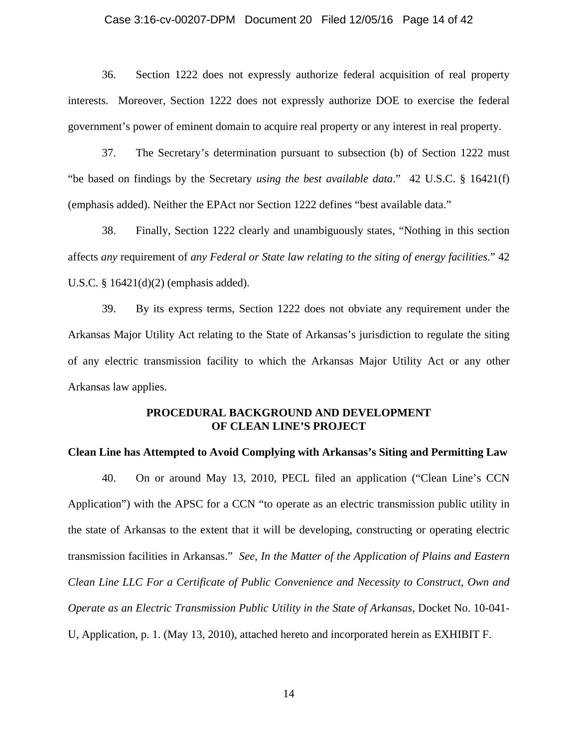### Case 3:16-cv-00207-DPM Document 20 Filed 12/05/16 Page 14 of 42

36. Section 1222 does not expressly authorize federal acquisition of real property interests. Moreover, Section 1222 does not expressly authorize DOE to exercise the federal government's power of eminent domain to acquire real property or any interest in real property.

37. The Secretary's determination pursuant to subsection (b) of Section 1222 must "be based on findings by the Secretary *using the best available data*." 42 U.S.C. § 16421(f) (emphasis added). Neither the EPAct nor Section 1222 defines "best available data."

38. Finally, Section 1222 clearly and unambiguously states, "Nothing in this section affects *any* requirement of *any Federal or State law relating to the siting of energy facilities*." 42 U.S.C. § 16421(d)(2) (emphasis added).

39. By its express terms, Section 1222 does not obviate any requirement under the Arkansas Major Utility Act relating to the State of Arkansas's jurisdiction to regulate the siting of any electric transmission facility to which the Arkansas Major Utility Act or any other Arkansas law applies.

# **PROCEDURAL BACKGROUND AND DEVELOPMENT OF CLEAN LINE'S PROJECT**

### **Clean Line has Attempted to Avoid Complying with Arkansas's Siting and Permitting Law**

40. On or around May 13, 2010, PECL filed an application ("Clean Line's CCN Application") with the APSC for a CCN "to operate as an electric transmission public utility in the state of Arkansas to the extent that it will be developing, constructing or operating electric transmission facilities in Arkansas." *See*, *In the Matter of the Application of Plains and Eastern Clean Line LLC For a Certificate of Public Convenience and Necessity to Construct, Own and Operate as an Electric Transmission Public Utility in the State of Arkansas*, Docket No. 10-041- U, Application, p. 1. (May 13, 2010), attached hereto and incorporated herein as EXHIBIT F.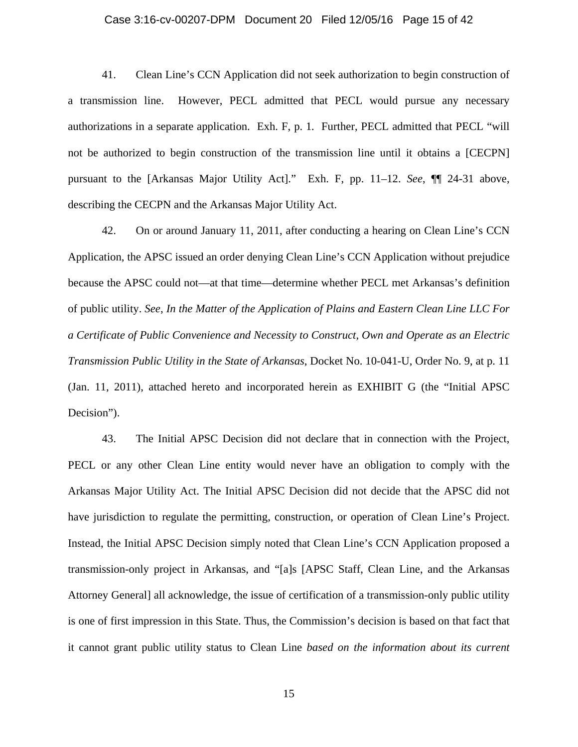#### Case 3:16-cv-00207-DPM Document 20 Filed 12/05/16 Page 15 of 42

41. Clean Line's CCN Application did not seek authorization to begin construction of a transmission line. However, PECL admitted that PECL would pursue any necessary authorizations in a separate application. Exh. F, p. 1*.* Further, PECL admitted that PECL "will not be authorized to begin construction of the transmission line until it obtains a [CECPN] pursuant to the [Arkansas Major Utility Act]." Exh. F, pp. 11–12. *See*, ¶¶ 24-31 above, describing the CECPN and the Arkansas Major Utility Act.

42. On or around January 11, 2011, after conducting a hearing on Clean Line's CCN Application, the APSC issued an order denying Clean Line's CCN Application without prejudice because the APSC could not—at that time—determine whether PECL met Arkansas's definition of public utility. *See*, *In the Matter of the Application of Plains and Eastern Clean Line LLC For a Certificate of Public Convenience and Necessity to Construct, Own and Operate as an Electric Transmission Public Utility in the State of Arkansas*, Docket No. 10-041-U, Order No. 9, at p. 11 (Jan. 11, 2011), attached hereto and incorporated herein as EXHIBIT G (the "Initial APSC Decision").

43. The Initial APSC Decision did not declare that in connection with the Project, PECL or any other Clean Line entity would never have an obligation to comply with the Arkansas Major Utility Act. The Initial APSC Decision did not decide that the APSC did not have jurisdiction to regulate the permitting, construction, or operation of Clean Line's Project. Instead, the Initial APSC Decision simply noted that Clean Line's CCN Application proposed a transmission-only project in Arkansas, and "[a]s [APSC Staff, Clean Line, and the Arkansas Attorney General] all acknowledge, the issue of certification of a transmission-only public utility is one of first impression in this State. Thus, the Commission's decision is based on that fact that it cannot grant public utility status to Clean Line *based on the information about its current*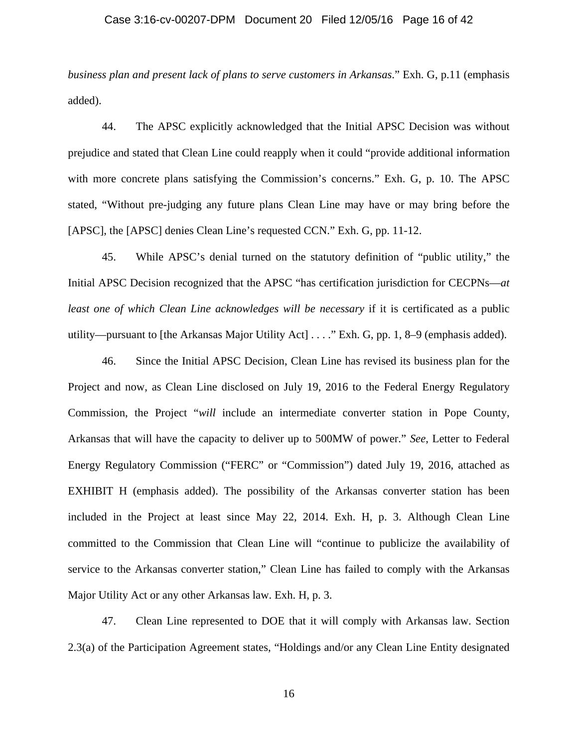### Case 3:16-cv-00207-DPM Document 20 Filed 12/05/16 Page 16 of 42

*business plan and present lack of plans to serve customers in Arkansas*." Exh. G, p.11 (emphasis added).

44. The APSC explicitly acknowledged that the Initial APSC Decision was without prejudice and stated that Clean Line could reapply when it could "provide additional information with more concrete plans satisfying the Commission's concerns." Exh. G, p. 10. The APSC stated, "Without pre-judging any future plans Clean Line may have or may bring before the [APSC], the [APSC] denies Clean Line's requested CCN." Exh. G, pp. 11-12.

45. While APSC's denial turned on the statutory definition of "public utility," the Initial APSC Decision recognized that the APSC "has certification jurisdiction for CECPNs—*at least one of which Clean Line acknowledges will be necessary* if it is certificated as a public utility—pursuant to [the Arkansas Major Utility Act] . . . ." Exh. G, pp. 1, 8–9 (emphasis added).

46. Since the Initial APSC Decision, Clean Line has revised its business plan for the Project and now, as Clean Line disclosed on July 19, 2016 to the Federal Energy Regulatory Commission, the Project "*will* include an intermediate converter station in Pope County, Arkansas that will have the capacity to deliver up to 500MW of power." *See*, Letter to Federal Energy Regulatory Commission ("FERC" or "Commission") dated July 19, 2016, attached as EXHIBIT H (emphasis added). The possibility of the Arkansas converter station has been included in the Project at least since May 22, 2014. Exh. H, p. 3. Although Clean Line committed to the Commission that Clean Line will "continue to publicize the availability of service to the Arkansas converter station," Clean Line has failed to comply with the Arkansas Major Utility Act or any other Arkansas law. Exh. H, p. 3.

47. Clean Line represented to DOE that it will comply with Arkansas law. Section 2.3(a) of the Participation Agreement states, "Holdings and/or any Clean Line Entity designated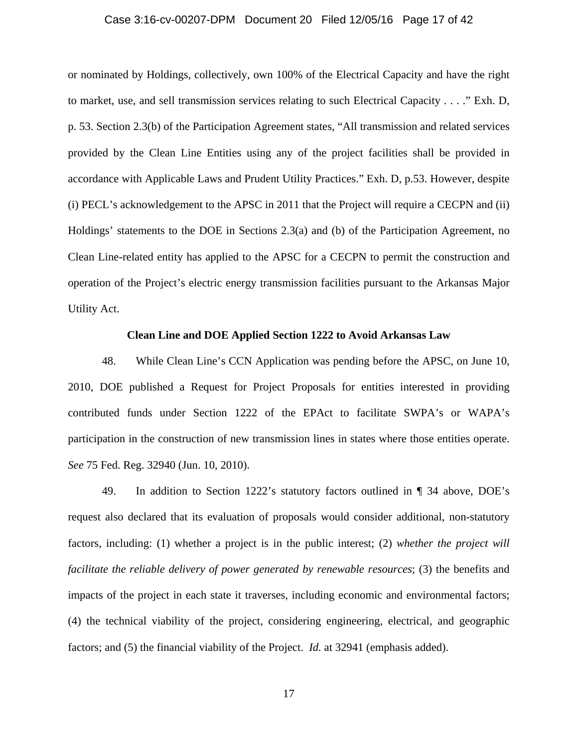### Case 3:16-cv-00207-DPM Document 20 Filed 12/05/16 Page 17 of 42

or nominated by Holdings, collectively, own 100% of the Electrical Capacity and have the right to market, use, and sell transmission services relating to such Electrical Capacity . . . ." Exh. D, p. 53. Section 2.3(b) of the Participation Agreement states, "All transmission and related services provided by the Clean Line Entities using any of the project facilities shall be provided in accordance with Applicable Laws and Prudent Utility Practices." Exh. D, p.53. However, despite (i) PECL's acknowledgement to the APSC in 2011 that the Project will require a CECPN and (ii) Holdings' statements to the DOE in Sections 2.3(a) and (b) of the Participation Agreement, no Clean Line-related entity has applied to the APSC for a CECPN to permit the construction and operation of the Project's electric energy transmission facilities pursuant to the Arkansas Major Utility Act.

### **Clean Line and DOE Applied Section 1222 to Avoid Arkansas Law**

48. While Clean Line's CCN Application was pending before the APSC, on June 10, 2010, DOE published a Request for Project Proposals for entities interested in providing contributed funds under Section 1222 of the EPAct to facilitate SWPA's or WAPA's participation in the construction of new transmission lines in states where those entities operate. *See* 75 Fed. Reg. 32940 (Jun. 10, 2010).

49. In addition to Section 1222's statutory factors outlined in ¶ 34 above, DOE's request also declared that its evaluation of proposals would consider additional, non-statutory factors, including: (1) whether a project is in the public interest; (2) *whether the project will facilitate the reliable delivery of power generated by renewable resources*; (3) the benefits and impacts of the project in each state it traverses, including economic and environmental factors; (4) the technical viability of the project, considering engineering, electrical, and geographic factors; and (5) the financial viability of the Project. *Id.* at 32941 (emphasis added).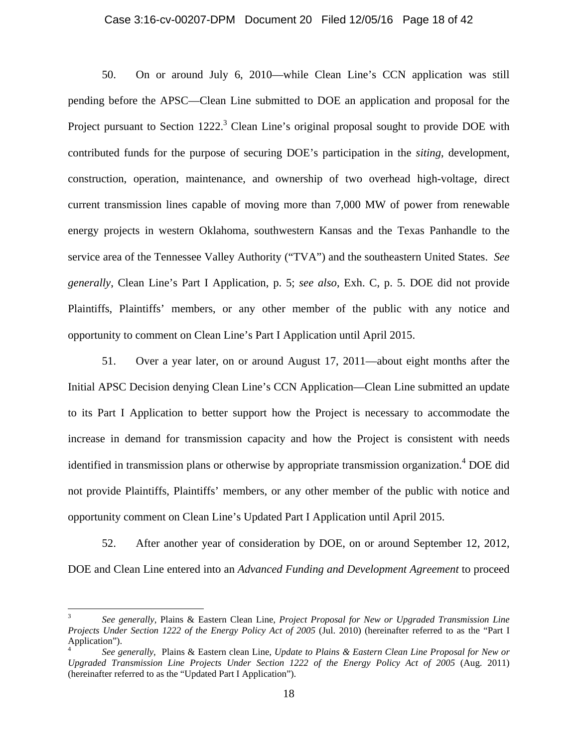#### Case 3:16-cv-00207-DPM Document 20 Filed 12/05/16 Page 18 of 42

50. On or around July 6, 2010—while Clean Line's CCN application was still pending before the APSC—Clean Line submitted to DOE an application and proposal for the Project pursuant to Section  $1222$ <sup>3</sup> Clean Line's original proposal sought to provide DOE with contributed funds for the purpose of securing DOE's participation in the *siting*, development, construction, operation, maintenance, and ownership of two overhead high-voltage, direct current transmission lines capable of moving more than 7,000 MW of power from renewable energy projects in western Oklahoma, southwestern Kansas and the Texas Panhandle to the service area of the Tennessee Valley Authority ("TVA") and the southeastern United States. *See generally*, Clean Line's Part I Application, p. 5; *see also*, Exh. C, p. 5. DOE did not provide Plaintiffs, Plaintiffs' members, or any other member of the public with any notice and opportunity to comment on Clean Line's Part I Application until April 2015.

51. Over a year later, on or around August 17, 2011—about eight months after the Initial APSC Decision denying Clean Line's CCN Application—Clean Line submitted an update to its Part I Application to better support how the Project is necessary to accommodate the increase in demand for transmission capacity and how the Project is consistent with needs identified in transmission plans or otherwise by appropriate transmission organization.<sup>4</sup> DOE did not provide Plaintiffs, Plaintiffs' members, or any other member of the public with notice and opportunity comment on Clean Line's Updated Part I Application until April 2015.

52. After another year of consideration by DOE, on or around September 12, 2012, DOE and Clean Line entered into an *Advanced Funding and Development Agreement* to proceed

<sup>3</sup> *See generally,* Plains & Eastern Clean Line, *Project Proposal for New or Upgraded Transmission Line Projects Under Section 1222 of the Energy Policy Act of 2005* (Jul. 2010) (hereinafter referred to as the "Part I Application").

<sup>4</sup> *See generally*, Plains & Eastern clean Line, *Update to Plains & Eastern Clean Line Proposal for New or Upgraded Transmission Line Projects Under Section 1222 of the Energy Policy Act of 2005* (Aug. 2011) (hereinafter referred to as the "Updated Part I Application").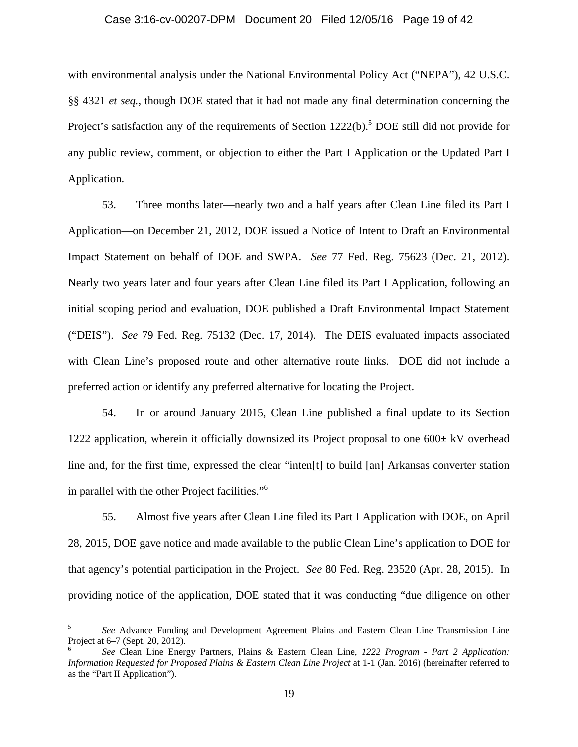#### Case 3:16-cv-00207-DPM Document 20 Filed 12/05/16 Page 19 of 42

with environmental analysis under the National Environmental Policy Act ("NEPA"), 42 U.S.C. §§ 4321 *et seq.*, though DOE stated that it had not made any final determination concerning the Project's satisfaction any of the requirements of Section  $1222(b)$ .<sup>5</sup> DOE still did not provide for any public review, comment, or objection to either the Part I Application or the Updated Part I Application.

53. Three months later—nearly two and a half years after Clean Line filed its Part I Application—on December 21, 2012, DOE issued a Notice of Intent to Draft an Environmental Impact Statement on behalf of DOE and SWPA. *See* 77 Fed. Reg. 75623 (Dec. 21, 2012). Nearly two years later and four years after Clean Line filed its Part I Application, following an initial scoping period and evaluation, DOE published a Draft Environmental Impact Statement ("DEIS"). *See* 79 Fed. Reg. 75132 (Dec. 17, 2014). The DEIS evaluated impacts associated with Clean Line's proposed route and other alternative route links. DOE did not include a preferred action or identify any preferred alternative for locating the Project.

54. In or around January 2015, Clean Line published a final update to its Section 1222 application, wherein it officially downsized its Project proposal to one  $600 \pm kV$  overhead line and, for the first time, expressed the clear "inten[t] to build [an] Arkansas converter station in parallel with the other Project facilities."6

55. Almost five years after Clean Line filed its Part I Application with DOE, on April 28, 2015, DOE gave notice and made available to the public Clean Line's application to DOE for that agency's potential participation in the Project. *See* 80 Fed. Reg. 23520 (Apr. 28, 2015). In providing notice of the application, DOE stated that it was conducting "due diligence on other

 $\overline{a}$ 

<sup>5</sup> *See* Advance Funding and Development Agreement Plains and Eastern Clean Line Transmission Line Project at 6–7 (Sept. 20, 2012).

<sup>6</sup> *See* Clean Line Energy Partners, Plains & Eastern Clean Line, *1222 Program - Part 2 Application: Information Requested for Proposed Plains & Eastern Clean Line Project* at 1-1 (Jan. 2016) (hereinafter referred to as the "Part II Application").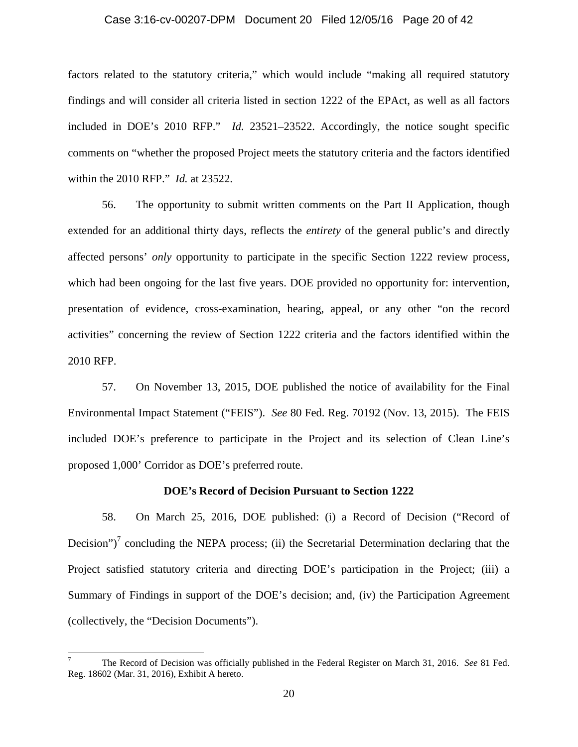#### Case 3:16-cv-00207-DPM Document 20 Filed 12/05/16 Page 20 of 42

factors related to the statutory criteria," which would include "making all required statutory findings and will consider all criteria listed in section 1222 of the EPAct, as well as all factors included in DOE's 2010 RFP." *Id.* 23521–23522. Accordingly, the notice sought specific comments on "whether the proposed Project meets the statutory criteria and the factors identified within the 2010 RFP." *Id.* at 23522.

56. The opportunity to submit written comments on the Part II Application, though extended for an additional thirty days, reflects the *entirety* of the general public's and directly affected persons' *only* opportunity to participate in the specific Section 1222 review process, which had been ongoing for the last five years. DOE provided no opportunity for: intervention, presentation of evidence, cross-examination, hearing, appeal, or any other "on the record activities" concerning the review of Section 1222 criteria and the factors identified within the 2010 RFP.

57. On November 13, 2015, DOE published the notice of availability for the Final Environmental Impact Statement ("FEIS"). *See* 80 Fed. Reg. 70192 (Nov. 13, 2015). The FEIS included DOE's preference to participate in the Project and its selection of Clean Line's proposed 1,000' Corridor as DOE's preferred route.

#### **DOE's Record of Decision Pursuant to Section 1222**

58. On March 25, 2016, DOE published: (i) a Record of Decision ("Record of Decision")<sup>7</sup> concluding the NEPA process; (ii) the Secretarial Determination declaring that the Project satisfied statutory criteria and directing DOE's participation in the Project; (iii) a Summary of Findings in support of the DOE's decision; and, (iv) the Participation Agreement (collectively, the "Decision Documents").

 $\overline{a}$ 

<sup>7</sup> The Record of Decision was officially published in the Federal Register on March 31, 2016. *See* 81 Fed. Reg. 18602 (Mar. 31, 2016), Exhibit A hereto.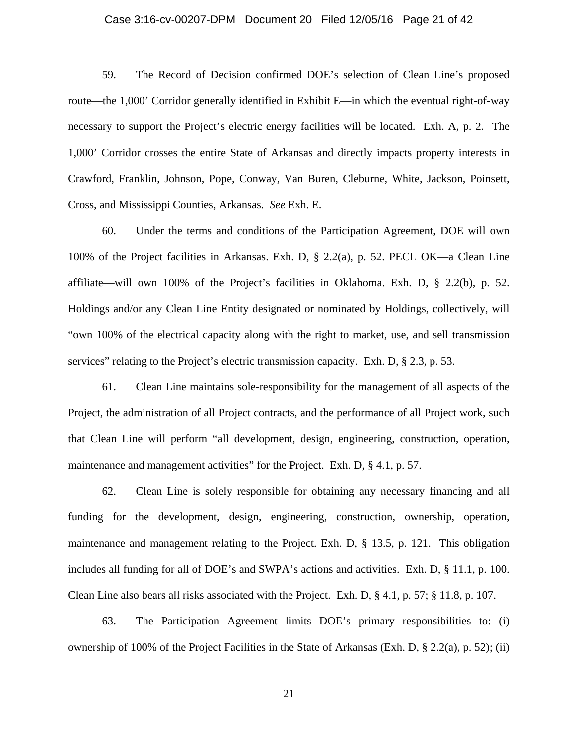# Case 3:16-cv-00207-DPM Document 20 Filed 12/05/16 Page 21 of 42

59. The Record of Decision confirmed DOE's selection of Clean Line's proposed route—the 1,000' Corridor generally identified in Exhibit E—in which the eventual right-of-way necessary to support the Project's electric energy facilities will be located. Exh. A, p. 2. The 1,000' Corridor crosses the entire State of Arkansas and directly impacts property interests in Crawford, Franklin, Johnson, Pope, Conway, Van Buren, Cleburne, White, Jackson, Poinsett, Cross, and Mississippi Counties, Arkansas. *See* Exh. E.

60. Under the terms and conditions of the Participation Agreement, DOE will own 100% of the Project facilities in Arkansas. Exh. D, § 2.2(a), p. 52. PECL OK—a Clean Line affiliate—will own 100% of the Project's facilities in Oklahoma. Exh. D, § 2.2(b), p. 52. Holdings and/or any Clean Line Entity designated or nominated by Holdings, collectively, will "own 100% of the electrical capacity along with the right to market, use, and sell transmission services" relating to the Project's electric transmission capacity. Exh. D, § 2.3, p. 53.

61. Clean Line maintains sole-responsibility for the management of all aspects of the Project, the administration of all Project contracts, and the performance of all Project work, such that Clean Line will perform "all development, design, engineering, construction, operation, maintenance and management activities" for the Project. Exh. D, § 4.1, p. 57.

62. Clean Line is solely responsible for obtaining any necessary financing and all funding for the development, design, engineering, construction, ownership, operation, maintenance and management relating to the Project. Exh. D, § 13.5, p. 121. This obligation includes all funding for all of DOE's and SWPA's actions and activities. Exh. D, § 11.1, p. 100. Clean Line also bears all risks associated with the Project. Exh. D, § 4.1, p. 57; § 11.8, p. 107.

63. The Participation Agreement limits DOE's primary responsibilities to: (i) ownership of 100% of the Project Facilities in the State of Arkansas (Exh. D, § 2.2(a), p. 52); (ii)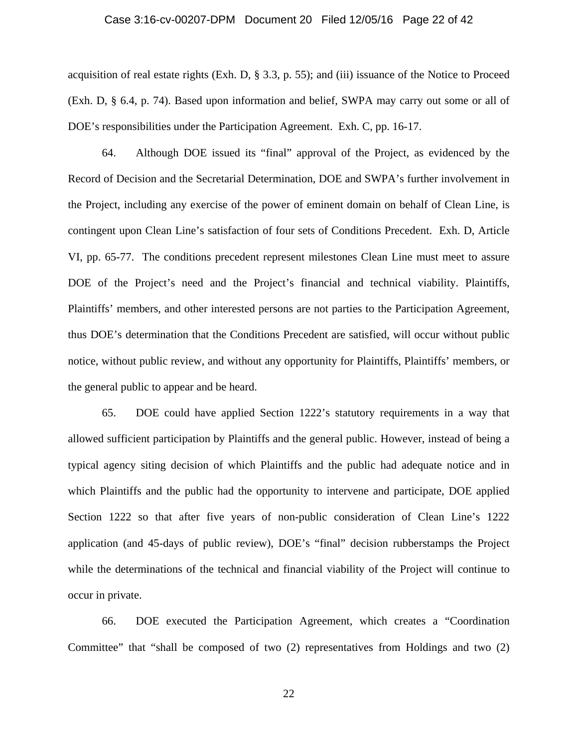### Case 3:16-cv-00207-DPM Document 20 Filed 12/05/16 Page 22 of 42

acquisition of real estate rights (Exh. D, § 3.3, p. 55); and (iii) issuance of the Notice to Proceed (Exh. D, § 6.4, p. 74). Based upon information and belief, SWPA may carry out some or all of DOE's responsibilities under the Participation Agreement. Exh. C, pp. 16-17.

64. Although DOE issued its "final" approval of the Project, as evidenced by the Record of Decision and the Secretarial Determination, DOE and SWPA's further involvement in the Project, including any exercise of the power of eminent domain on behalf of Clean Line, is contingent upon Clean Line's satisfaction of four sets of Conditions Precedent. Exh. D, Article VI, pp. 65-77. The conditions precedent represent milestones Clean Line must meet to assure DOE of the Project's need and the Project's financial and technical viability. Plaintiffs, Plaintiffs' members, and other interested persons are not parties to the Participation Agreement, thus DOE's determination that the Conditions Precedent are satisfied, will occur without public notice, without public review, and without any opportunity for Plaintiffs, Plaintiffs' members, or the general public to appear and be heard.

65. DOE could have applied Section 1222's statutory requirements in a way that allowed sufficient participation by Plaintiffs and the general public. However, instead of being a typical agency siting decision of which Plaintiffs and the public had adequate notice and in which Plaintiffs and the public had the opportunity to intervene and participate, DOE applied Section 1222 so that after five years of non-public consideration of Clean Line's 1222 application (and 45-days of public review), DOE's "final" decision rubberstamps the Project while the determinations of the technical and financial viability of the Project will continue to occur in private.

66. DOE executed the Participation Agreement, which creates a "Coordination Committee" that "shall be composed of two (2) representatives from Holdings and two (2)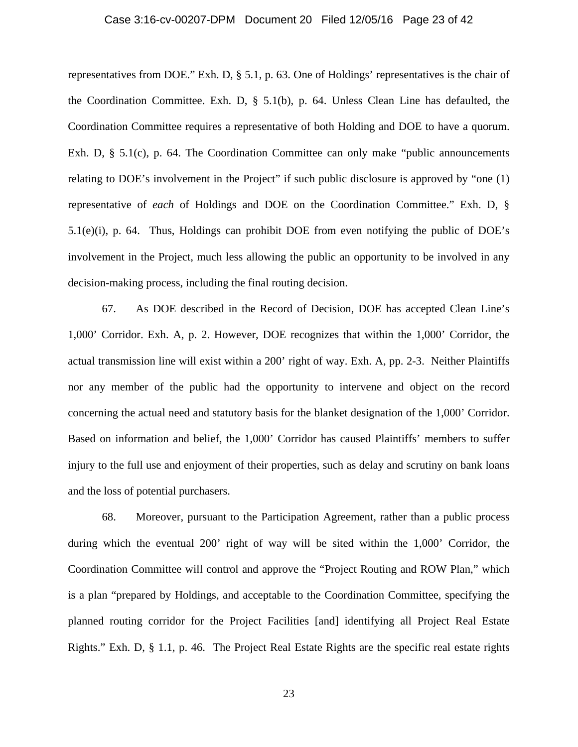### Case 3:16-cv-00207-DPM Document 20 Filed 12/05/16 Page 23 of 42

representatives from DOE." Exh. D, § 5.1, p. 63. One of Holdings' representatives is the chair of the Coordination Committee. Exh. D, § 5.1(b), p. 64. Unless Clean Line has defaulted, the Coordination Committee requires a representative of both Holding and DOE to have a quorum. Exh. D, § 5.1(c), p. 64. The Coordination Committee can only make "public announcements" relating to DOE's involvement in the Project" if such public disclosure is approved by "one (1) representative of *each* of Holdings and DOE on the Coordination Committee." Exh. D, § 5.1(e)(i), p. 64. Thus, Holdings can prohibit DOE from even notifying the public of DOE's involvement in the Project, much less allowing the public an opportunity to be involved in any decision-making process, including the final routing decision.

67. As DOE described in the Record of Decision, DOE has accepted Clean Line's 1,000' Corridor. Exh. A, p. 2. However, DOE recognizes that within the 1,000' Corridor, the actual transmission line will exist within a 200' right of way. Exh. A, pp. 2-3. Neither Plaintiffs nor any member of the public had the opportunity to intervene and object on the record concerning the actual need and statutory basis for the blanket designation of the 1,000' Corridor. Based on information and belief, the 1,000' Corridor has caused Plaintiffs' members to suffer injury to the full use and enjoyment of their properties, such as delay and scrutiny on bank loans and the loss of potential purchasers.

68. Moreover, pursuant to the Participation Agreement, rather than a public process during which the eventual 200' right of way will be sited within the 1,000' Corridor, the Coordination Committee will control and approve the "Project Routing and ROW Plan," which is a plan "prepared by Holdings, and acceptable to the Coordination Committee, specifying the planned routing corridor for the Project Facilities [and] identifying all Project Real Estate Rights." Exh. D, § 1.1, p. 46. The Project Real Estate Rights are the specific real estate rights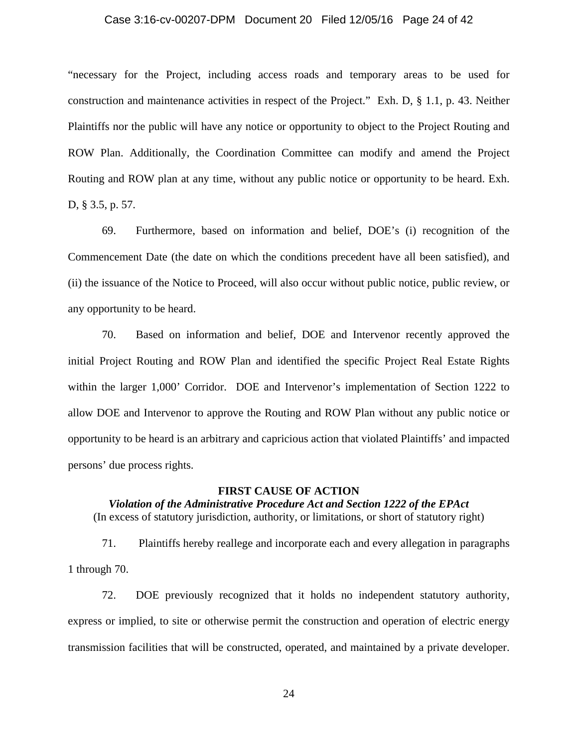### Case 3:16-cv-00207-DPM Document 20 Filed 12/05/16 Page 24 of 42

"necessary for the Project, including access roads and temporary areas to be used for construction and maintenance activities in respect of the Project." Exh. D, § 1.1, p. 43. Neither Plaintiffs nor the public will have any notice or opportunity to object to the Project Routing and ROW Plan. Additionally, the Coordination Committee can modify and amend the Project Routing and ROW plan at any time, without any public notice or opportunity to be heard. Exh. D, § 3.5, p. 57.

69. Furthermore, based on information and belief, DOE's (i) recognition of the Commencement Date (the date on which the conditions precedent have all been satisfied), and (ii) the issuance of the Notice to Proceed, will also occur without public notice, public review, or any opportunity to be heard.

70. Based on information and belief, DOE and Intervenor recently approved the initial Project Routing and ROW Plan and identified the specific Project Real Estate Rights within the larger 1,000' Corridor. DOE and Intervenor's implementation of Section 1222 to allow DOE and Intervenor to approve the Routing and ROW Plan without any public notice or opportunity to be heard is an arbitrary and capricious action that violated Plaintiffs' and impacted persons' due process rights.

#### **FIRST CAUSE OF ACTION**

*Violation of the Administrative Procedure Act and Section 1222 of the EPAct*  (In excess of statutory jurisdiction, authority, or limitations, or short of statutory right)

71. Plaintiffs hereby reallege and incorporate each and every allegation in paragraphs 1 through 70.

72. DOE previously recognized that it holds no independent statutory authority, express or implied, to site or otherwise permit the construction and operation of electric energy transmission facilities that will be constructed, operated, and maintained by a private developer.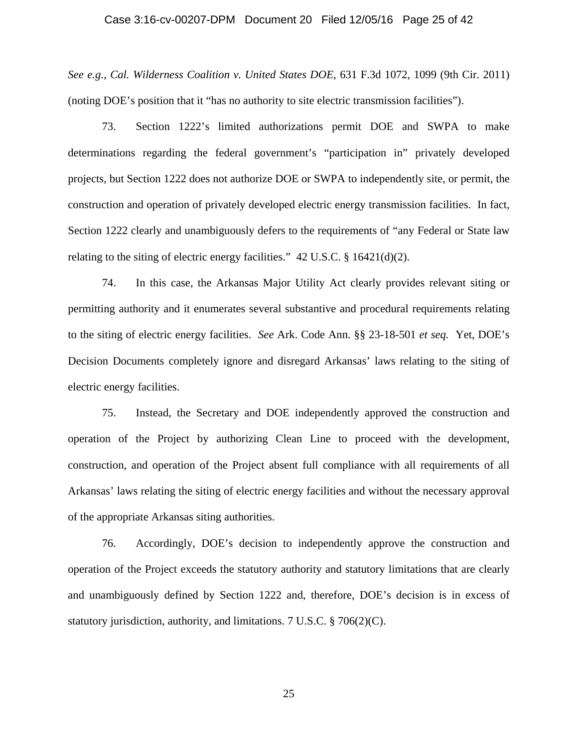### Case 3:16-cv-00207-DPM Document 20 Filed 12/05/16 Page 25 of 42

*See e.g.*, *Cal. Wilderness Coalition v. United States DOE*, 631 F.3d 1072, 1099 (9th Cir. 2011) (noting DOE's position that it "has no authority to site electric transmission facilities").

73. Section 1222's limited authorizations permit DOE and SWPA to make determinations regarding the federal government's "participation in" privately developed projects, but Section 1222 does not authorize DOE or SWPA to independently site, or permit, the construction and operation of privately developed electric energy transmission facilities. In fact, Section 1222 clearly and unambiguously defers to the requirements of "any Federal or State law relating to the siting of electric energy facilities."  $42 \text{ U.S.C.}$  § 16421(d)(2).

74. In this case, the Arkansas Major Utility Act clearly provides relevant siting or permitting authority and it enumerates several substantive and procedural requirements relating to the siting of electric energy facilities. *See* Ark. Code Ann. §§ 23-18-501 *et seq.* Yet, DOE's Decision Documents completely ignore and disregard Arkansas' laws relating to the siting of electric energy facilities.

75. Instead, the Secretary and DOE independently approved the construction and operation of the Project by authorizing Clean Line to proceed with the development, construction, and operation of the Project absent full compliance with all requirements of all Arkansas' laws relating the siting of electric energy facilities and without the necessary approval of the appropriate Arkansas siting authorities.

76. Accordingly, DOE's decision to independently approve the construction and operation of the Project exceeds the statutory authority and statutory limitations that are clearly and unambiguously defined by Section 1222 and, therefore, DOE's decision is in excess of statutory jurisdiction, authority, and limitations. 7 U.S.C. § 706(2)(C).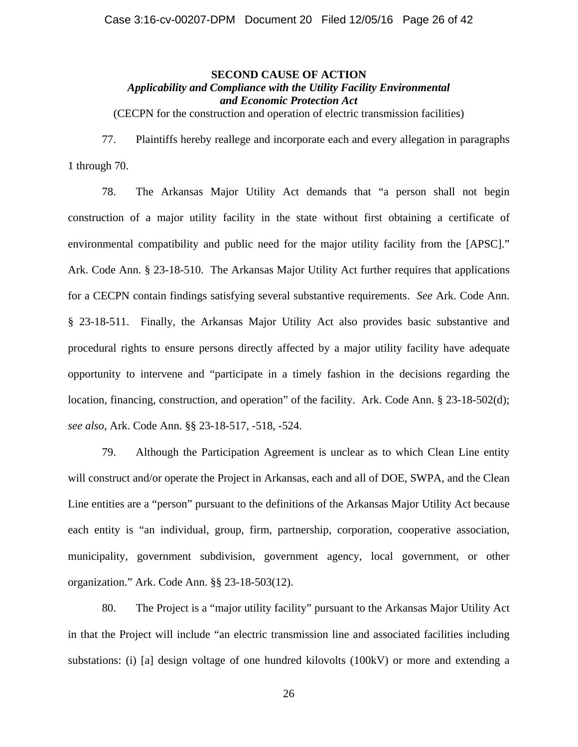# **SECOND CAUSE OF ACTION**  *Applicability and Compliance with the Utility Facility Environmental and Economic Protection Act*

(CECPN for the construction and operation of electric transmission facilities)

77. Plaintiffs hereby reallege and incorporate each and every allegation in paragraphs 1 through 70.

78. The Arkansas Major Utility Act demands that "a person shall not begin construction of a major utility facility in the state without first obtaining a certificate of environmental compatibility and public need for the major utility facility from the [APSC]." Ark. Code Ann. § 23-18-510. The Arkansas Major Utility Act further requires that applications for a CECPN contain findings satisfying several substantive requirements. *See* Ark. Code Ann. § 23-18-511. Finally, the Arkansas Major Utility Act also provides basic substantive and procedural rights to ensure persons directly affected by a major utility facility have adequate opportunity to intervene and "participate in a timely fashion in the decisions regarding the location, financing, construction, and operation" of the facility. Ark. Code Ann. § 23-18-502(d); *see also*, Ark. Code Ann. §§ 23-18-517, -518, -524.

79. Although the Participation Agreement is unclear as to which Clean Line entity will construct and/or operate the Project in Arkansas, each and all of DOE, SWPA, and the Clean Line entities are a "person" pursuant to the definitions of the Arkansas Major Utility Act because each entity is "an individual, group, firm, partnership, corporation, cooperative association, municipality, government subdivision, government agency, local government, or other organization." Ark. Code Ann. §§ 23-18-503(12).

80. The Project is a "major utility facility" pursuant to the Arkansas Major Utility Act in that the Project will include "an electric transmission line and associated facilities including substations: (i) [a] design voltage of one hundred kilovolts (100kV) or more and extending a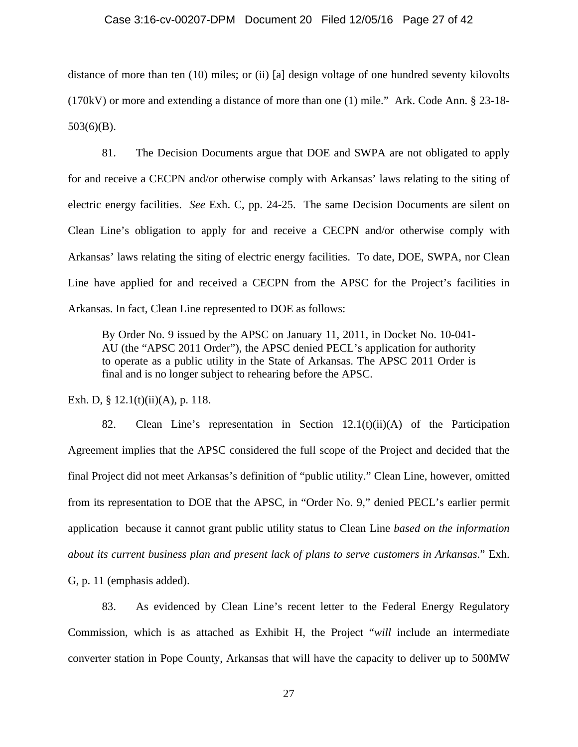#### Case 3:16-cv-00207-DPM Document 20 Filed 12/05/16 Page 27 of 42

distance of more than ten (10) miles; or (ii) [a] design voltage of one hundred seventy kilovolts (170kV) or more and extending a distance of more than one (1) mile." Ark. Code Ann. § 23-18-  $503(6)(B)$ .

81. The Decision Documents argue that DOE and SWPA are not obligated to apply for and receive a CECPN and/or otherwise comply with Arkansas' laws relating to the siting of electric energy facilities. *See* Exh. C, pp. 24-25. The same Decision Documents are silent on Clean Line's obligation to apply for and receive a CECPN and/or otherwise comply with Arkansas' laws relating the siting of electric energy facilities. To date, DOE, SWPA, nor Clean Line have applied for and received a CECPN from the APSC for the Project's facilities in Arkansas. In fact, Clean Line represented to DOE as follows:

By Order No. 9 issued by the APSC on January 11, 2011, in Docket No. 10-041- AU (the "APSC 2011 Order"), the APSC denied PECL's application for authority to operate as a public utility in the State of Arkansas. The APSC 2011 Order is final and is no longer subject to rehearing before the APSC.

Exh. D, § 12.1(t)(ii)(A), p. 118.

82. Clean Line's representation in Section 12.1(t)(ii)(A) of the Participation Agreement implies that the APSC considered the full scope of the Project and decided that the final Project did not meet Arkansas's definition of "public utility." Clean Line, however, omitted from its representation to DOE that the APSC, in "Order No. 9," denied PECL's earlier permit application because it cannot grant public utility status to Clean Line *based on the information about its current business plan and present lack of plans to serve customers in Arkansas*." Exh. G, p. 11 (emphasis added).

83. As evidenced by Clean Line's recent letter to the Federal Energy Regulatory Commission, which is as attached as Exhibit H, the Project "*will* include an intermediate converter station in Pope County, Arkansas that will have the capacity to deliver up to 500MW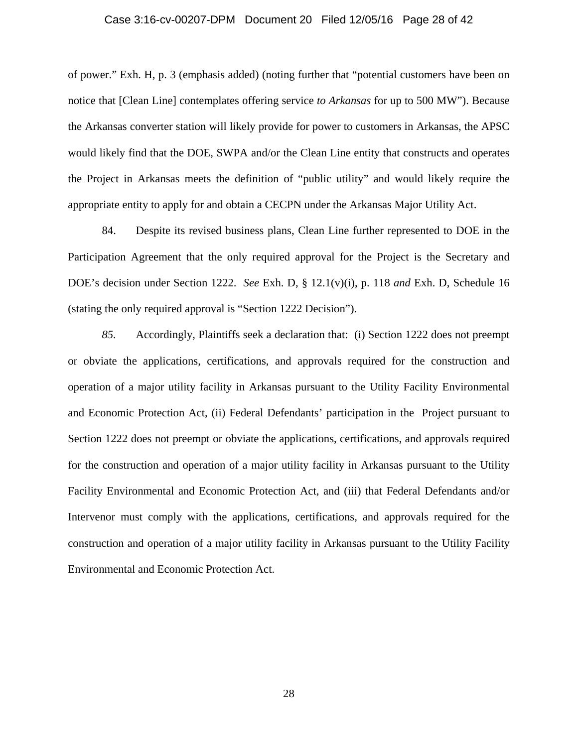#### Case 3:16-cv-00207-DPM Document 20 Filed 12/05/16 Page 28 of 42

of power." Exh. H, p. 3 (emphasis added) (noting further that "potential customers have been on notice that [Clean Line] contemplates offering service *to Arkansas* for up to 500 MW"). Because the Arkansas converter station will likely provide for power to customers in Arkansas, the APSC would likely find that the DOE, SWPA and/or the Clean Line entity that constructs and operates the Project in Arkansas meets the definition of "public utility" and would likely require the appropriate entity to apply for and obtain a CECPN under the Arkansas Major Utility Act.

84. Despite its revised business plans, Clean Line further represented to DOE in the Participation Agreement that the only required approval for the Project is the Secretary and DOE's decision under Section 1222. *See* Exh. D, § 12.1(v)(i), p. 118 *and* Exh. D, Schedule 16 (stating the only required approval is "Section 1222 Decision").

*85.* Accordingly, Plaintiffs seek a declaration that: (i) Section 1222 does not preempt or obviate the applications, certifications, and approvals required for the construction and operation of a major utility facility in Arkansas pursuant to the Utility Facility Environmental and Economic Protection Act, (ii) Federal Defendants' participation in the Project pursuant to Section 1222 does not preempt or obviate the applications, certifications, and approvals required for the construction and operation of a major utility facility in Arkansas pursuant to the Utility Facility Environmental and Economic Protection Act, and (iii) that Federal Defendants and/or Intervenor must comply with the applications, certifications, and approvals required for the construction and operation of a major utility facility in Arkansas pursuant to the Utility Facility Environmental and Economic Protection Act.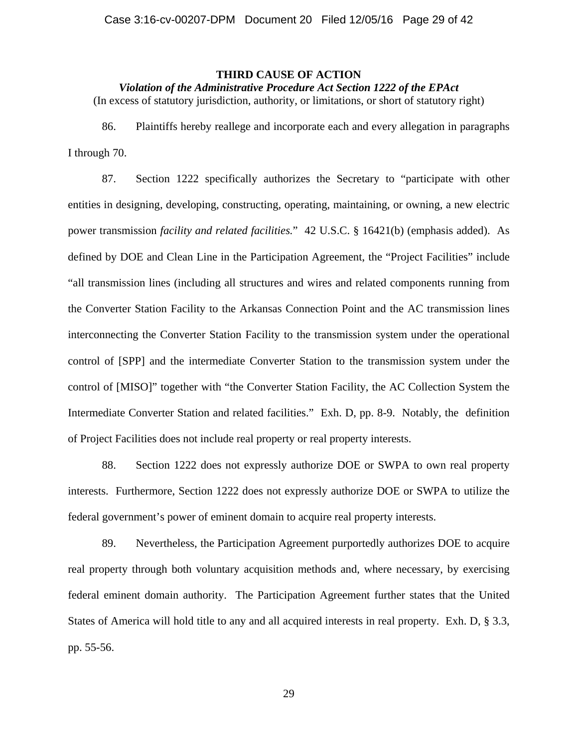### **THIRD CAUSE OF ACTION**

*Violation of the Administrative Procedure Act Section 1222 of the EPAct* 

(In excess of statutory jurisdiction, authority, or limitations, or short of statutory right)

86. Plaintiffs hereby reallege and incorporate each and every allegation in paragraphs I through 70.

87. Section 1222 specifically authorizes the Secretary to "participate with other entities in designing, developing, constructing, operating, maintaining, or owning, a new electric power transmission *facility and related facilities.*"42 U.S.C. § 16421(b) (emphasis added). As defined by DOE and Clean Line in the Participation Agreement, the "Project Facilities" include "all transmission lines (including all structures and wires and related components running from the Converter Station Facility to the Arkansas Connection Point and the AC transmission lines interconnecting the Converter Station Facility to the transmission system under the operational control of [SPP] and the intermediate Converter Station to the transmission system under the control of [MISO]" together with "the Converter Station Facility, the AC Collection System the Intermediate Converter Station and related facilities." Exh. D, pp. 8-9. Notably, the definition of Project Facilities does not include real property or real property interests.

88. Section 1222 does not expressly authorize DOE or SWPA to own real property interests. Furthermore, Section 1222 does not expressly authorize DOE or SWPA to utilize the federal government's power of eminent domain to acquire real property interests.

89. Nevertheless, the Participation Agreement purportedly authorizes DOE to acquire real property through both voluntary acquisition methods and, where necessary, by exercising federal eminent domain authority. The Participation Agreement further states that the United States of America will hold title to any and all acquired interests in real property. Exh. D, § 3.3, pp. 55-56.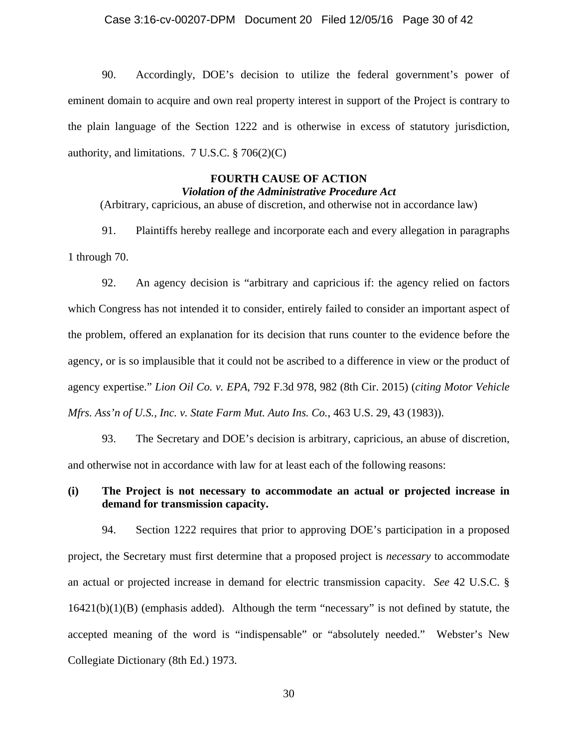90. Accordingly, DOE's decision to utilize the federal government's power of eminent domain to acquire and own real property interest in support of the Project is contrary to the plain language of the Section 1222 and is otherwise in excess of statutory jurisdiction, authority, and limitations.  $7 \text{ U.S.C.} \$  $3 \cdot 706(2)(\text{C})$ 

### **FOURTH CAUSE OF ACTION**  *Violation of the Administrative Procedure Act*

(Arbitrary, capricious, an abuse of discretion, and otherwise not in accordance law)

91. Plaintiffs hereby reallege and incorporate each and every allegation in paragraphs 1 through 70.

92. An agency decision is "arbitrary and capricious if: the agency relied on factors which Congress has not intended it to consider, entirely failed to consider an important aspect of the problem, offered an explanation for its decision that runs counter to the evidence before the agency, or is so implausible that it could not be ascribed to a difference in view or the product of agency expertise." *Lion Oil Co. v. EPA*, 792 F.3d 978, 982 (8th Cir. 2015) (*citing Motor Vehicle Mfrs. Ass'n of U.S., Inc. v. State Farm Mut. Auto Ins. Co.*, 463 U.S. 29, 43 (1983)).

93. The Secretary and DOE's decision is arbitrary, capricious, an abuse of discretion, and otherwise not in accordance with law for at least each of the following reasons:

# **(i) The Project is not necessary to accommodate an actual or projected increase in demand for transmission capacity.**

94. Section 1222 requires that prior to approving DOE's participation in a proposed project, the Secretary must first determine that a proposed project is *necessary* to accommodate an actual or projected increase in demand for electric transmission capacity. *See* 42 U.S.C. § 16421(b)(1)(B) (emphasis added). Although the term "necessary" is not defined by statute, the accepted meaning of the word is "indispensable" or "absolutely needed." Webster's New Collegiate Dictionary (8th Ed.) 1973.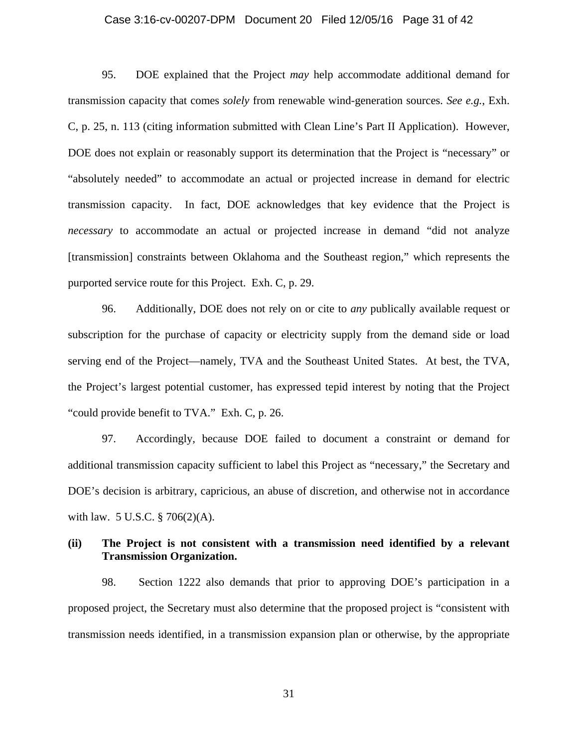### Case 3:16-cv-00207-DPM Document 20 Filed 12/05/16 Page 31 of 42

95. DOE explained that the Project *may* help accommodate additional demand for transmission capacity that comes *solely* from renewable wind-generation sources. *See e.g.*, Exh. C, p. 25, n. 113 (citing information submitted with Clean Line's Part II Application). However, DOE does not explain or reasonably support its determination that the Project is "necessary" or "absolutely needed" to accommodate an actual or projected increase in demand for electric transmission capacity. In fact, DOE acknowledges that key evidence that the Project is *necessary* to accommodate an actual or projected increase in demand "did not analyze [transmission] constraints between Oklahoma and the Southeast region," which represents the purported service route for this Project. Exh. C, p. 29.

96. Additionally, DOE does not rely on or cite to *any* publically available request or subscription for the purchase of capacity or electricity supply from the demand side or load serving end of the Project—namely, TVA and the Southeast United States. At best, the TVA, the Project's largest potential customer, has expressed tepid interest by noting that the Project "could provide benefit to TVA." Exh. C, p. 26.

97. Accordingly, because DOE failed to document a constraint or demand for additional transmission capacity sufficient to label this Project as "necessary," the Secretary and DOE's decision is arbitrary, capricious, an abuse of discretion, and otherwise not in accordance with law. 5 U.S.C. § 706(2)(A).

# **(ii) The Project is not consistent with a transmission need identified by a relevant Transmission Organization.**

98. Section 1222 also demands that prior to approving DOE's participation in a proposed project, the Secretary must also determine that the proposed project is "consistent with transmission needs identified, in a transmission expansion plan or otherwise, by the appropriate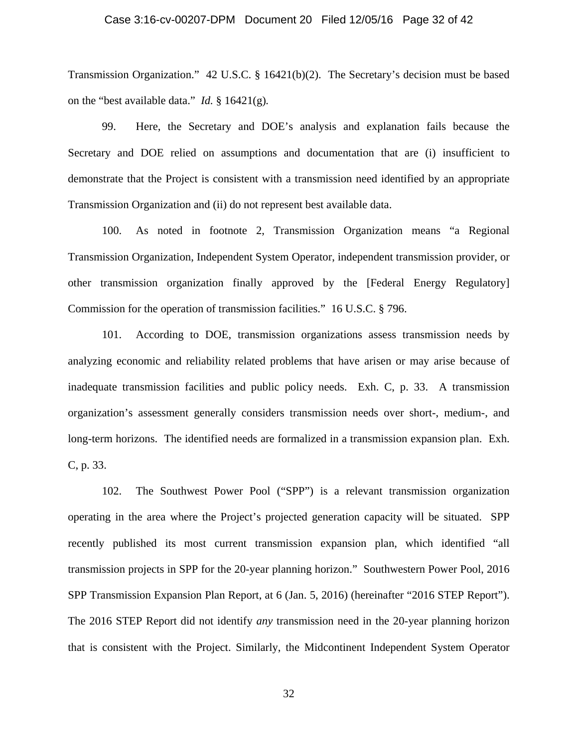### Case 3:16-cv-00207-DPM Document 20 Filed 12/05/16 Page 32 of 42

Transmission Organization." 42 U.S.C. § 16421(b)(2). The Secretary's decision must be based on the "best available data." *Id.* § 16421(g)*.*

99. Here, the Secretary and DOE's analysis and explanation fails because the Secretary and DOE relied on assumptions and documentation that are (i) insufficient to demonstrate that the Project is consistent with a transmission need identified by an appropriate Transmission Organization and (ii) do not represent best available data.

100. As noted in footnote 2, Transmission Organization means "a Regional Transmission Organization, Independent System Operator, independent transmission provider, or other transmission organization finally approved by the [Federal Energy Regulatory] Commission for the operation of transmission facilities." 16 U.S.C. § 796.

101. According to DOE, transmission organizations assess transmission needs by analyzing economic and reliability related problems that have arisen or may arise because of inadequate transmission facilities and public policy needs. Exh. C, p. 33. A transmission organization's assessment generally considers transmission needs over short-, medium-, and long-term horizons. The identified needs are formalized in a transmission expansion plan. Exh. C, p. 33.

102. The Southwest Power Pool ("SPP") is a relevant transmission organization operating in the area where the Project's projected generation capacity will be situated. SPP recently published its most current transmission expansion plan, which identified "all transmission projects in SPP for the 20-year planning horizon." Southwestern Power Pool, 2016 SPP Transmission Expansion Plan Report, at 6 (Jan. 5, 2016) (hereinafter "2016 STEP Report"). The 2016 STEP Report did not identify *any* transmission need in the 20-year planning horizon that is consistent with the Project. Similarly, the Midcontinent Independent System Operator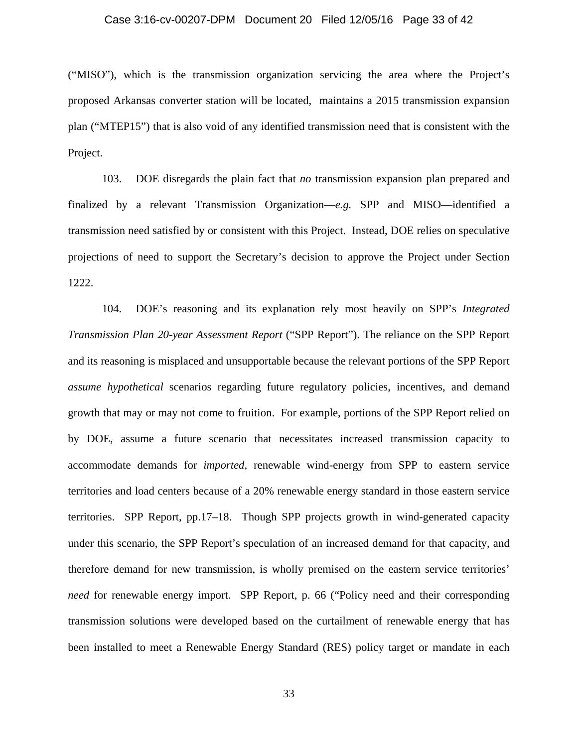### Case 3:16-cv-00207-DPM Document 20 Filed 12/05/16 Page 33 of 42

("MISO"), which is the transmission organization servicing the area where the Project's proposed Arkansas converter station will be located, maintains a 2015 transmission expansion plan ("MTEP15") that is also void of any identified transmission need that is consistent with the Project.

103. DOE disregards the plain fact that *no* transmission expansion plan prepared and finalized by a relevant Transmission Organization—*e.g.* SPP and MISO—identified a transmission need satisfied by or consistent with this Project. Instead, DOE relies on speculative projections of need to support the Secretary's decision to approve the Project under Section 1222.

104. DOE's reasoning and its explanation rely most heavily on SPP's *Integrated Transmission Plan 20-year Assessment Report* ("SPP Report"). The reliance on the SPP Report and its reasoning is misplaced and unsupportable because the relevant portions of the SPP Report *assume hypothetical* scenarios regarding future regulatory policies, incentives, and demand growth that may or may not come to fruition. For example, portions of the SPP Report relied on by DOE, assume a future scenario that necessitates increased transmission capacity to accommodate demands for *imported*, renewable wind-energy from SPP to eastern service territories and load centers because of a 20% renewable energy standard in those eastern service territories. SPP Report, pp.17–18. Though SPP projects growth in wind-generated capacity under this scenario, the SPP Report's speculation of an increased demand for that capacity, and therefore demand for new transmission, is wholly premised on the eastern service territories' *need* for renewable energy import. SPP Report, p. 66 ("Policy need and their corresponding transmission solutions were developed based on the curtailment of renewable energy that has been installed to meet a Renewable Energy Standard (RES) policy target or mandate in each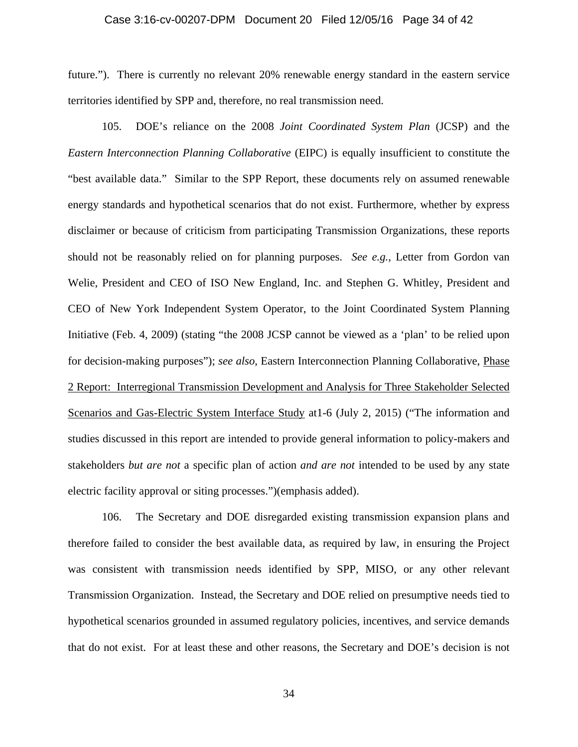### Case 3:16-cv-00207-DPM Document 20 Filed 12/05/16 Page 34 of 42

future."). There is currently no relevant 20% renewable energy standard in the eastern service territories identified by SPP and, therefore, no real transmission need.

105. DOE's reliance on the 2008 *Joint Coordinated System Plan* (JCSP) and the *Eastern Interconnection Planning Collaborative* (EIPC) is equally insufficient to constitute the "best available data." Similar to the SPP Report, these documents rely on assumed renewable energy standards and hypothetical scenarios that do not exist. Furthermore, whether by express disclaimer or because of criticism from participating Transmission Organizations, these reports should not be reasonably relied on for planning purposes. *See e.g.*, Letter from Gordon van Welie, President and CEO of ISO New England, Inc. and Stephen G. Whitley, President and CEO of New York Independent System Operator, to the Joint Coordinated System Planning Initiative (Feb. 4, 2009) (stating "the 2008 JCSP cannot be viewed as a 'plan' to be relied upon for decision-making purposes"); *see also*, Eastern Interconnection Planning Collaborative, Phase 2 Report: Interregional Transmission Development and Analysis for Three Stakeholder Selected Scenarios and Gas-Electric System Interface Study at 1-6 (July 2, 2015) ("The information and studies discussed in this report are intended to provide general information to policy-makers and stakeholders *but are not* a specific plan of action *and are not* intended to be used by any state electric facility approval or siting processes.")(emphasis added).

106. The Secretary and DOE disregarded existing transmission expansion plans and therefore failed to consider the best available data, as required by law, in ensuring the Project was consistent with transmission needs identified by SPP, MISO, or any other relevant Transmission Organization. Instead, the Secretary and DOE relied on presumptive needs tied to hypothetical scenarios grounded in assumed regulatory policies, incentives, and service demands that do not exist. For at least these and other reasons, the Secretary and DOE's decision is not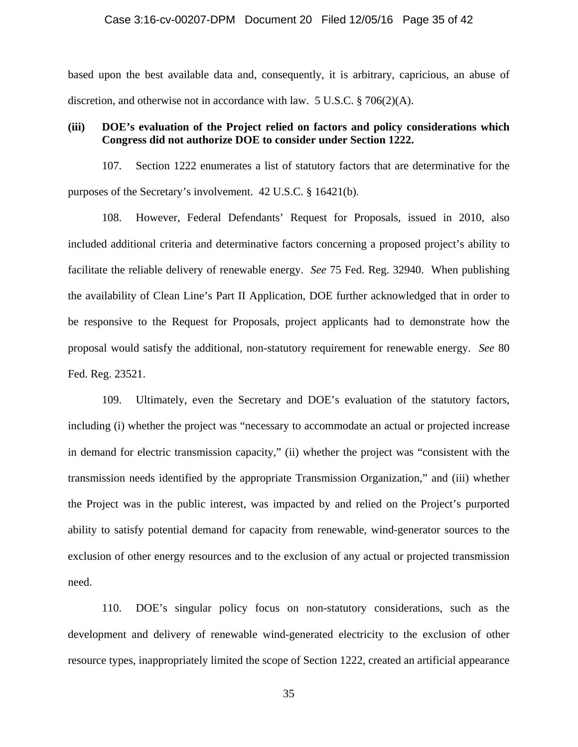#### Case 3:16-cv-00207-DPM Document 20 Filed 12/05/16 Page 35 of 42

based upon the best available data and, consequently, it is arbitrary, capricious, an abuse of discretion, and otherwise not in accordance with law. 5 U.S.C. § 706(2)(A).

### **(iii) DOE's evaluation of the Project relied on factors and policy considerations which Congress did not authorize DOE to consider under Section 1222.**

107. Section 1222 enumerates a list of statutory factors that are determinative for the purposes of the Secretary's involvement. 42 U.S.C. § 16421(b).

108. However, Federal Defendants' Request for Proposals, issued in 2010, also included additional criteria and determinative factors concerning a proposed project's ability to facilitate the reliable delivery of renewable energy. *See* 75 Fed. Reg. 32940. When publishing the availability of Clean Line's Part II Application, DOE further acknowledged that in order to be responsive to the Request for Proposals, project applicants had to demonstrate how the proposal would satisfy the additional, non-statutory requirement for renewable energy. *See* 80 Fed. Reg. 23521.

109. Ultimately, even the Secretary and DOE's evaluation of the statutory factors, including (i) whether the project was "necessary to accommodate an actual or projected increase in demand for electric transmission capacity," (ii) whether the project was "consistent with the transmission needs identified by the appropriate Transmission Organization," and (iii) whether the Project was in the public interest, was impacted by and relied on the Project's purported ability to satisfy potential demand for capacity from renewable, wind-generator sources to the exclusion of other energy resources and to the exclusion of any actual or projected transmission need.

110. DOE's singular policy focus on non-statutory considerations, such as the development and delivery of renewable wind-generated electricity to the exclusion of other resource types, inappropriately limited the scope of Section 1222, created an artificial appearance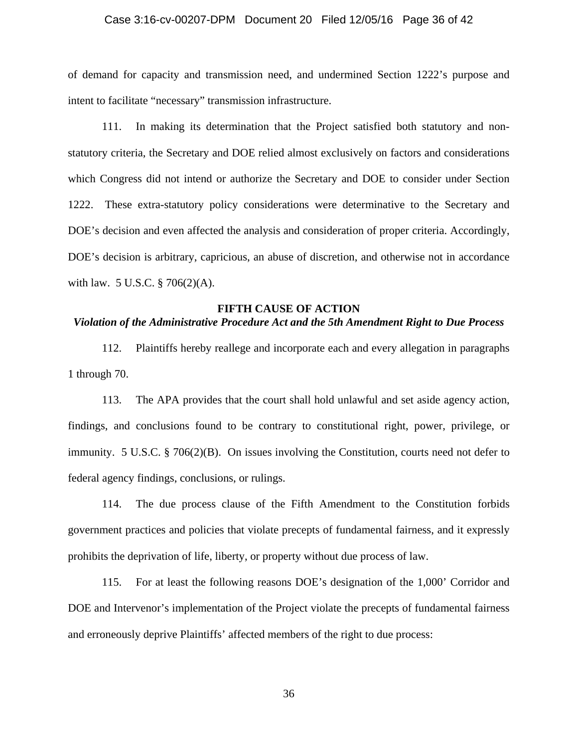### Case 3:16-cv-00207-DPM Document 20 Filed 12/05/16 Page 36 of 42

of demand for capacity and transmission need, and undermined Section 1222's purpose and intent to facilitate "necessary" transmission infrastructure.

111. In making its determination that the Project satisfied both statutory and nonstatutory criteria, the Secretary and DOE relied almost exclusively on factors and considerations which Congress did not intend or authorize the Secretary and DOE to consider under Section 1222. These extra-statutory policy considerations were determinative to the Secretary and DOE's decision and even affected the analysis and consideration of proper criteria. Accordingly, DOE's decision is arbitrary, capricious, an abuse of discretion, and otherwise not in accordance with law. 5 U.S.C. § 706(2)(A).

#### **FIFTH CAUSE OF ACTION**

# *Violation of the Administrative Procedure Act and the 5th Amendment Right to Due Process*

112. Plaintiffs hereby reallege and incorporate each and every allegation in paragraphs 1 through 70.

113. The APA provides that the court shall hold unlawful and set aside agency action, findings, and conclusions found to be contrary to constitutional right, power, privilege, or immunity. 5 U.S.C. § 706(2)(B). On issues involving the Constitution, courts need not defer to federal agency findings, conclusions, or rulings.

114. The due process clause of the Fifth Amendment to the Constitution forbids government practices and policies that violate precepts of fundamental fairness, and it expressly prohibits the deprivation of life, liberty, or property without due process of law.

115. For at least the following reasons DOE's designation of the 1,000' Corridor and DOE and Intervenor's implementation of the Project violate the precepts of fundamental fairness and erroneously deprive Plaintiffs' affected members of the right to due process: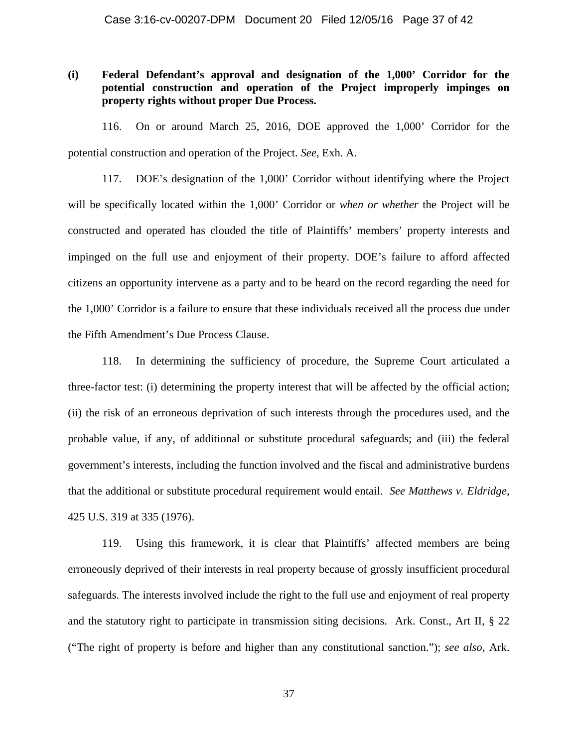# **(i) Federal Defendant's approval and designation of the 1,000' Corridor for the potential construction and operation of the Project improperly impinges on property rights without proper Due Process.**

116. On or around March 25, 2016, DOE approved the 1,000' Corridor for the potential construction and operation of the Project. *See*, Exh. A.

117. DOE's designation of the 1,000' Corridor without identifying where the Project will be specifically located within the 1,000' Corridor or *when or whether* the Project will be constructed and operated has clouded the title of Plaintiffs' members' property interests and impinged on the full use and enjoyment of their property. DOE's failure to afford affected citizens an opportunity intervene as a party and to be heard on the record regarding the need for the 1,000' Corridor is a failure to ensure that these individuals received all the process due under the Fifth Amendment's Due Process Clause.

118. In determining the sufficiency of procedure, the Supreme Court articulated a three-factor test: (i) determining the property interest that will be affected by the official action; (ii) the risk of an erroneous deprivation of such interests through the procedures used, and the probable value, if any, of additional or substitute procedural safeguards; and (iii) the federal government's interests, including the function involved and the fiscal and administrative burdens that the additional or substitute procedural requirement would entail. *See Matthews v. Eldridge*, 425 U.S. 319 at 335 (1976).

119. Using this framework, it is clear that Plaintiffs' affected members are being erroneously deprived of their interests in real property because of grossly insufficient procedural safeguards. The interests involved include the right to the full use and enjoyment of real property and the statutory right to participate in transmission siting decisions. Ark. Const., Art II, § 22 ("The right of property is before and higher than any constitutional sanction."); *see also*, Ark.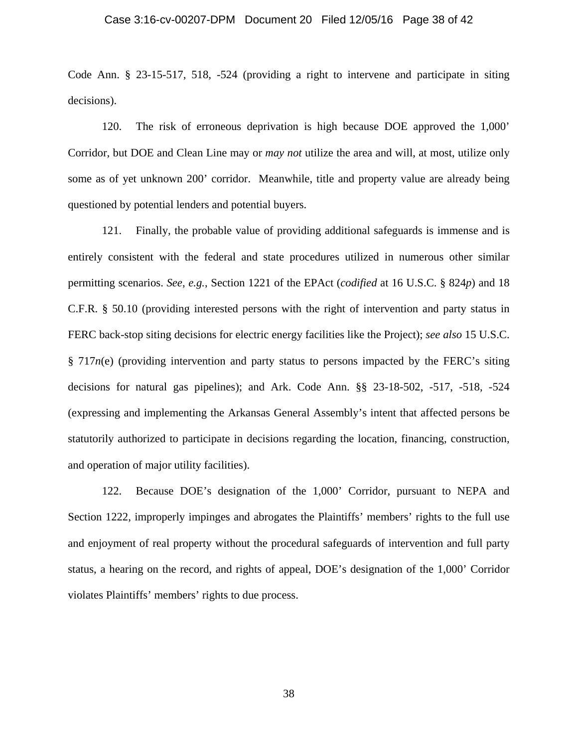#### Case 3:16-cv-00207-DPM Document 20 Filed 12/05/16 Page 38 of 42

Code Ann. § 23-15-517, 518, -524 (providing a right to intervene and participate in siting decisions).

120. The risk of erroneous deprivation is high because DOE approved the 1,000' Corridor, but DOE and Clean Line may or *may not* utilize the area and will, at most, utilize only some as of yet unknown 200' corridor. Meanwhile, title and property value are already being questioned by potential lenders and potential buyers.

121. Finally, the probable value of providing additional safeguards is immense and is entirely consistent with the federal and state procedures utilized in numerous other similar permitting scenarios. *See*, *e.g.*, Section 1221 of the EPAct (*codified* at 16 U.S.C. § 824*p*) and 18 C.F.R. § 50.10 (providing interested persons with the right of intervention and party status in FERC back-stop siting decisions for electric energy facilities like the Project); *see also* 15 U.S.C. § 717*n*(e) (providing intervention and party status to persons impacted by the FERC's siting decisions for natural gas pipelines); and Ark. Code Ann. §§ 23-18-502, -517, -518, -524 (expressing and implementing the Arkansas General Assembly's intent that affected persons be statutorily authorized to participate in decisions regarding the location, financing, construction, and operation of major utility facilities).

122. Because DOE's designation of the 1,000' Corridor, pursuant to NEPA and Section 1222, improperly impinges and abrogates the Plaintiffs' members' rights to the full use and enjoyment of real property without the procedural safeguards of intervention and full party status, a hearing on the record, and rights of appeal, DOE's designation of the 1,000' Corridor violates Plaintiffs' members' rights to due process.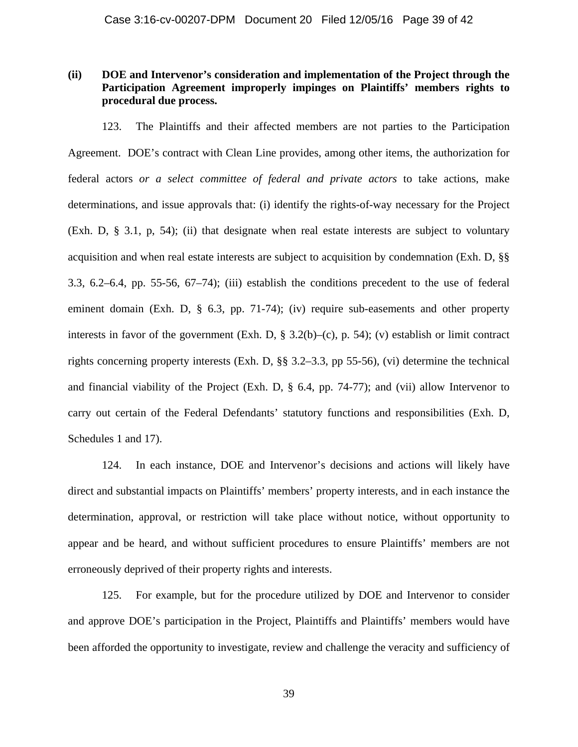# **(ii) DOE and Intervenor's consideration and implementation of the Project through the Participation Agreement improperly impinges on Plaintiffs' members rights to procedural due process.**

123. The Plaintiffs and their affected members are not parties to the Participation Agreement. DOE's contract with Clean Line provides, among other items, the authorization for federal actors *or a select committee of federal and private actors* to take actions, make determinations, and issue approvals that: (i) identify the rights-of-way necessary for the Project (Exh. D, § 3.1, p, 54); (ii) that designate when real estate interests are subject to voluntary acquisition and when real estate interests are subject to acquisition by condemnation (Exh. D, §§ 3.3, 6.2–6.4, pp. 55-56, 67–74); (iii) establish the conditions precedent to the use of federal eminent domain (Exh. D, § 6.3, pp. 71-74); (iv) require sub-easements and other property interests in favor of the government (Exh. D,  $\S$  3.2(b)–(c), p. 54); (v) establish or limit contract rights concerning property interests (Exh. D, §§ 3.2–3.3, pp 55-56), (vi) determine the technical and financial viability of the Project (Exh. D, § 6.4, pp. 74-77); and (vii) allow Intervenor to carry out certain of the Federal Defendants' statutory functions and responsibilities (Exh. D, Schedules 1 and 17).

124. In each instance, DOE and Intervenor's decisions and actions will likely have direct and substantial impacts on Plaintiffs' members' property interests, and in each instance the determination, approval, or restriction will take place without notice, without opportunity to appear and be heard, and without sufficient procedures to ensure Plaintiffs' members are not erroneously deprived of their property rights and interests.

125. For example, but for the procedure utilized by DOE and Intervenor to consider and approve DOE's participation in the Project, Plaintiffs and Plaintiffs' members would have been afforded the opportunity to investigate, review and challenge the veracity and sufficiency of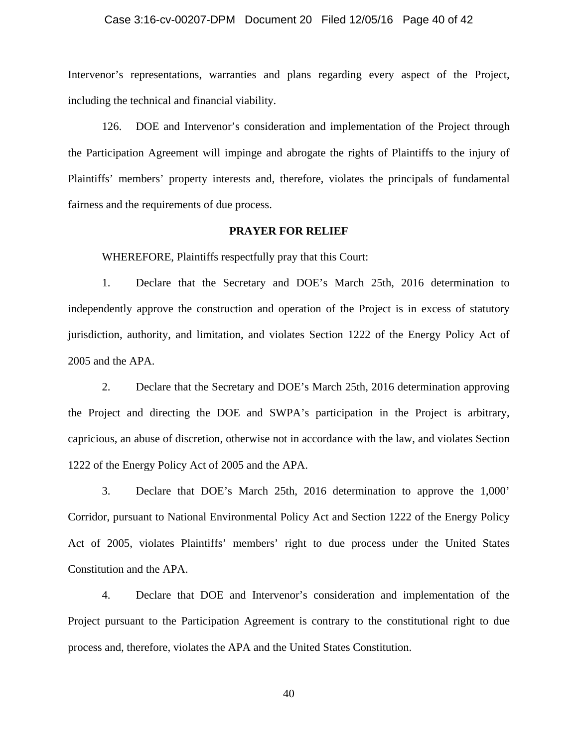#### Case 3:16-cv-00207-DPM Document 20 Filed 12/05/16 Page 40 of 42

Intervenor's representations, warranties and plans regarding every aspect of the Project, including the technical and financial viability.

126. DOE and Intervenor's consideration and implementation of the Project through the Participation Agreement will impinge and abrogate the rights of Plaintiffs to the injury of Plaintiffs' members' property interests and, therefore, violates the principals of fundamental fairness and the requirements of due process.

#### **PRAYER FOR RELIEF**

WHEREFORE, Plaintiffs respectfully pray that this Court:

1. Declare that the Secretary and DOE's March 25th, 2016 determination to independently approve the construction and operation of the Project is in excess of statutory jurisdiction, authority, and limitation, and violates Section 1222 of the Energy Policy Act of 2005 and the APA.

2. Declare that the Secretary and DOE's March 25th, 2016 determination approving the Project and directing the DOE and SWPA's participation in the Project is arbitrary, capricious, an abuse of discretion, otherwise not in accordance with the law, and violates Section 1222 of the Energy Policy Act of 2005 and the APA.

3. Declare that DOE's March 25th, 2016 determination to approve the 1,000' Corridor, pursuant to National Environmental Policy Act and Section 1222 of the Energy Policy Act of 2005, violates Plaintiffs' members' right to due process under the United States Constitution and the APA.

4. Declare that DOE and Intervenor's consideration and implementation of the Project pursuant to the Participation Agreement is contrary to the constitutional right to due process and, therefore, violates the APA and the United States Constitution.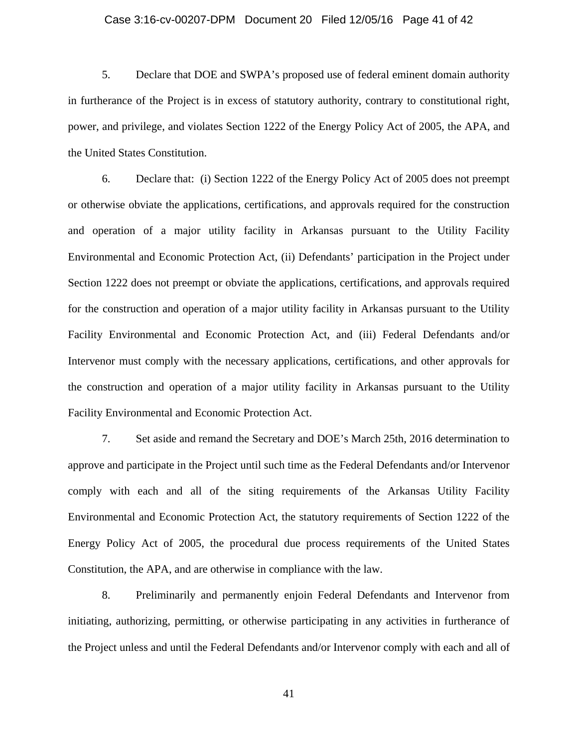#### Case 3:16-cv-00207-DPM Document 20 Filed 12/05/16 Page 41 of 42

5. Declare that DOE and SWPA's proposed use of federal eminent domain authority in furtherance of the Project is in excess of statutory authority, contrary to constitutional right, power, and privilege, and violates Section 1222 of the Energy Policy Act of 2005, the APA, and the United States Constitution.

6. Declare that: (i) Section 1222 of the Energy Policy Act of 2005 does not preempt or otherwise obviate the applications, certifications, and approvals required for the construction and operation of a major utility facility in Arkansas pursuant to the Utility Facility Environmental and Economic Protection Act, (ii) Defendants' participation in the Project under Section 1222 does not preempt or obviate the applications, certifications, and approvals required for the construction and operation of a major utility facility in Arkansas pursuant to the Utility Facility Environmental and Economic Protection Act, and (iii) Federal Defendants and/or Intervenor must comply with the necessary applications, certifications, and other approvals for the construction and operation of a major utility facility in Arkansas pursuant to the Utility Facility Environmental and Economic Protection Act.

7. Set aside and remand the Secretary and DOE's March 25th, 2016 determination to approve and participate in the Project until such time as the Federal Defendants and/or Intervenor comply with each and all of the siting requirements of the Arkansas Utility Facility Environmental and Economic Protection Act, the statutory requirements of Section 1222 of the Energy Policy Act of 2005, the procedural due process requirements of the United States Constitution, the APA, and are otherwise in compliance with the law.

8. Preliminarily and permanently enjoin Federal Defendants and Intervenor from initiating, authorizing, permitting, or otherwise participating in any activities in furtherance of the Project unless and until the Federal Defendants and/or Intervenor comply with each and all of